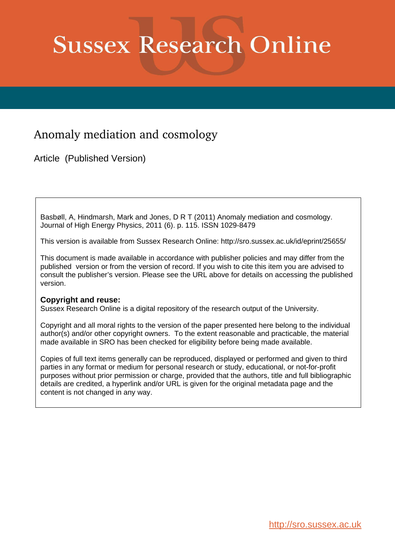# **Sussex Research Online**

# Anomaly mediation and cosmology

Article (Published Version)

Basbøll, A, Hindmarsh, Mark and Jones, D R T (2011) Anomaly mediation and cosmology. Journal of High Energy Physics, 2011 (6). p. 115. ISSN 1029-8479

This version is available from Sussex Research Online: http://sro.sussex.ac.uk/id/eprint/25655/

This document is made available in accordance with publisher policies and may differ from the published version or from the version of record. If you wish to cite this item you are advised to consult the publisher's version. Please see the URL above for details on accessing the published version.

# **Copyright and reuse:**

Sussex Research Online is a digital repository of the research output of the University.

Copyright and all moral rights to the version of the paper presented here belong to the individual author(s) and/or other copyright owners. To the extent reasonable and practicable, the material made available in SRO has been checked for eligibility before being made available.

Copies of full text items generally can be reproduced, displayed or performed and given to third parties in any format or medium for personal research or study, educational, or not-for-profit purposes without prior permission or charge, provided that the authors, title and full bibliographic details are credited, a hyperlink and/or URL is given for the original metadata page and the content is not changed in any way.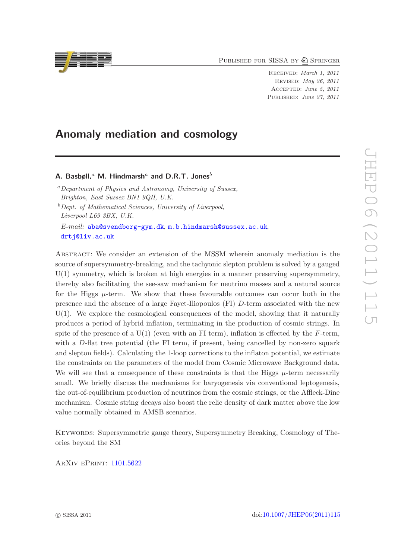PUBLISHED FOR SISSA BY 2 SPRINGER

Received: March 1, 2011 Revised: May 26, 2011 Accepted: June 5, 2011 PUBLISHED: June 27, 2011

# Anomaly mediation and cosmology

A. Basbøll,<sup>a</sup> M. Hindmarsh<sup>a</sup> and D.R.T. Jones<sup>b</sup>

<sup>a</sup>*Department of Physics and Astronomy, University of Sussex, Brighton, East Sussex BN1 9QH, U.K.*

<sup>b</sup>*Dept. of Mathematical Sciences, University of Liverpool, Liverpool L69 3BX, U.K.*

*E-mail:* [aba@svendborg-gym.dk](mailto:aba@svendborg-gym.dk), [m.b.hindmarsh@sussex.ac.uk](mailto:m.b.hindmarsh@sussex.ac.uk), [drtj@liv.ac.uk](mailto:drtj@liv.ac.uk )

Abstract: We consider an extension of the MSSM wherein anomaly mediation is the source of supersymmetry-breaking, and the tachyonic slepton problem is solved by a gauged  $U(1)$  symmetry, which is broken at high energies in a manner preserving supersymmetry, thereby also facilitating the see-saw mechanism for neutrino masses and a natural source for the Higgs  $\mu$ -term. We show that these favourable outcomes can occur both in the presence and the absence of a large Fayet-Iliopoulos (FI) D-term associated with the new U(1). We explore the cosmological consequences of the model, showing that it naturally produces a period of hybrid inflation, terminating in the production of cosmic strings. In spite of the presence of a  $U(1)$  (even with an FI term), inflation is effected by the F-term, with a D-flat tree potential (the FI term, if present, being cancelled by non-zero squark and slepton fields). Calculating the 1-loop corrections to the inflaton potential, we estimate the constraints on the parameters of the model from Cosmic Microwave Background data. We will see that a consequence of these constraints is that the Higgs  $\mu$ -term necessarily small. We briefly discuss the mechanisms for baryogenesis via conventional leptogenesis, the out-of-equilibrium production of neutrinos from the cosmic strings, or the Affleck-Dine mechanism. Cosmic string decays also boost the relic density of dark matter above the low value normally obtained in AMSB scenarios.

Keywords: Supersymmetric gauge theory, Supersymmetry Breaking, Cosmology of Theories beyond the SM

ArXiv ePrint: [1101.5622](http://arxiv.org/abs/1101.5622)

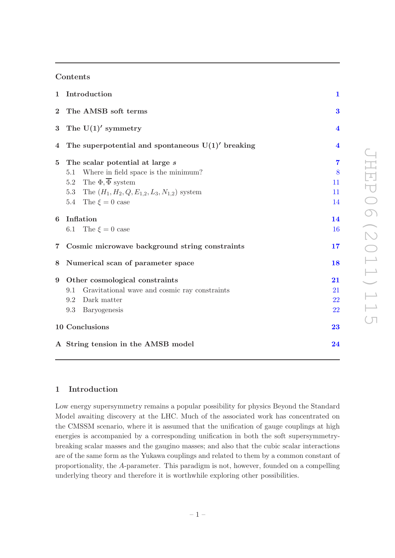#### Contents

| $\mathbf{1}$    | Introduction                                          | $\mathbf{1}$            |  |  |  |  |  |
|-----------------|-------------------------------------------------------|-------------------------|--|--|--|--|--|
| $\overline{2}$  | $\bf{3}$                                              |                         |  |  |  |  |  |
| $\bf{3}$        | The $U(1)'$ symmetry                                  | $\overline{\mathbf{4}}$ |  |  |  |  |  |
| 4               | The superpotential and spontaneous $U(1)'$ breaking   | $\overline{\mathbf{4}}$ |  |  |  |  |  |
| $\bf{5}$        | The scalar potential at large s                       | $\overline{7}$          |  |  |  |  |  |
|                 | Where in field space is the minimum?<br>5.1           | 8                       |  |  |  |  |  |
|                 | The $\Phi$ , $\overline{\Phi}$ system<br>$5.2\,$      | 11                      |  |  |  |  |  |
|                 | 5.3 The $(H_1, H_2, Q, E_{1,2}, L_3, N_{1,2})$ system | 11                      |  |  |  |  |  |
|                 | 5.4 The $\xi = 0$ case                                | 14                      |  |  |  |  |  |
| 6               | Inflation                                             |                         |  |  |  |  |  |
|                 | 6.1 The $\xi = 0$ case                                | <b>16</b>               |  |  |  |  |  |
| $\overline{7}$  | Cosmic microwave background string constraints        | 17                      |  |  |  |  |  |
| 8               | Numerical scan of parameter space                     | 18                      |  |  |  |  |  |
| $9\phantom{.0}$ | Other cosmological constraints                        | 21                      |  |  |  |  |  |
|                 | Gravitational wave and cosmic ray constraints<br>9.1  | 21                      |  |  |  |  |  |
|                 | 9.2<br>Dark matter                                    | 22                      |  |  |  |  |  |
|                 | Baryogenesis<br>9.3                                   | <b>22</b>               |  |  |  |  |  |
|                 | 10 Conclusions                                        | 23                      |  |  |  |  |  |
|                 | A String tension in the AMSB model                    | 24                      |  |  |  |  |  |
|                 |                                                       |                         |  |  |  |  |  |

### <span id="page-2-0"></span>1 Introduction

Low energy supersymmetry remains a popular possibility for physics Beyond the Standard Model awaiting discovery at the LHC. Much of the associated work has concentrated on the CMSSM scenario, where it is assumed that the unification of gauge couplings at high energies is accompanied by a corresponding unification in both the soft supersymmetrybreaking scalar masses and the gaugino masses; and also that the cubic scalar interactions are of the same form as the Yukawa couplings and related to them by a common constant of proportionality, the A-parameter. This paradigm is not, however, founded on a compelling underlying theory and therefore it is worthwhile exploring other possibilities.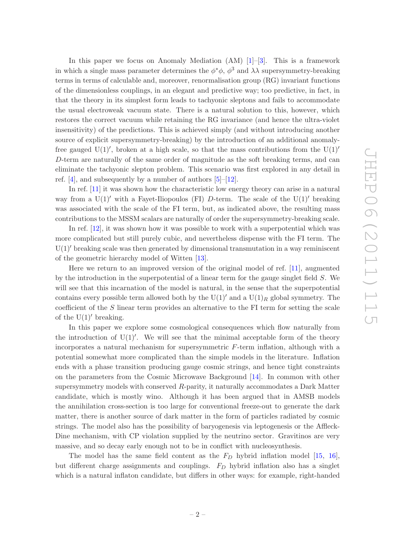In this paper we focus on Anomaly Mediation  $(AM)$  [\[1\]](#page-27-0)–[\[3](#page-27-1)]. This is a framework in which a single mass parameter determines the  $\phi^*\phi$ ,  $\phi^3$  and  $\lambda\lambda$  supersymmetry-breaking terms in terms of calculable and, moreover, renormalisation group (RG) invariant functions of the dimensionless couplings, in an elegant and predictive way; too predictive, in fact, in that the theory in its simplest form leads to tachyonic sleptons and fails to accommodate the usual electroweak vacuum state. There is a natural solution to this, however, which restores the correct vacuum while retaining the RG invariance (and hence the ultra-violet insensitivity) of the predictions. This is achieved simply (and without introducing another source of explicit supersymmetry-breaking) by the introduction of an additional anomalyfree gauged  $U(1)$ , broken at a high scale, so that the mass contributions from the  $U(1)$ D-term are naturally of the same order of magnitude as the soft breaking terms, and can eliminate the tachyonic slepton problem. This scenario was first explored in any detail in ref. [\[4](#page-27-2)], and subsequently by a number of authors [\[5\]](#page-27-3)–[\[12](#page-27-4)].

In ref. [\[11](#page-27-5)] it was shown how the characteristic low energy theory can arise in a natural way from a  $U(1)'$  with a Fayet-Iliopoulos (FI) D-term. The scale of the  $U(1)'$  breaking was associated with the scale of the FI term, but, as indicated above, the resulting mass contributions to the MSSM scalars are naturally of order the supersymmetry-breaking scale.

In ref. [\[12](#page-27-4)], it was shown how it was possible to work with a superpotential which was more complicated but still purely cubic, and nevertheless dispense with the FI term. The  $U(1)$ <sup>'</sup> breaking scale was then generated by dimensional transmutation in a way reminiscent of the geometric hierarchy model of Witten [\[13\]](#page-27-6).

Here we return to an improved version of the original model of ref. [\[11](#page-27-5)], augmented by the introduction in the superpotential of a linear term for the gauge singlet field S. We will see that this incarnation of the model is natural, in the sense that the superpotential contains every possible term allowed both by the U(1)' and a U(1)<sub>R</sub> global symmetry. The coefficient of the S linear term provides an alternative to the FI term for setting the scale of the  $U(1)'$  breaking.

In this paper we explore some cosmological consequences which flow naturally from the introduction of  $U(1)'$ . We will see that the minimal acceptable form of the theory incorporates a natural mechanism for supersymmetric F-term inflation, although with a potential somewhat more complicated than the simple models in the literature. Inflation ends with a phase transition producing gauge cosmic strings, and hence tight constraints on the parameters from the Cosmic Microwave Background [\[14](#page-27-7)]. In common with other supersymmetry models with conserved R-parity, it naturally accommodates a Dark Matter candidate, which is mostly wino. Although it has been argued that in AMSB models the annihilation cross-section is too large for conventional freeze-out to generate the dark matter, there is another source of dark matter in the form of particles radiated by cosmic strings. The model also has the possibility of baryogenesis via leptogenesis or the Affleck-Dine mechanism, with CP violation supplied by the neutrino sector. Gravitinos are very massive, and so decay early enough not to be in conflict with nucleosynthesis.

The model has the same field content as the  $F<sub>D</sub>$  hybrid inflation model [\[15,](#page-27-8) [16\]](#page-27-9), but different charge assignments and couplings.  $F<sub>D</sub>$  hybrid inflation also has a singlet which is a natural inflaton candidate, but differs in other ways: for example, right-handed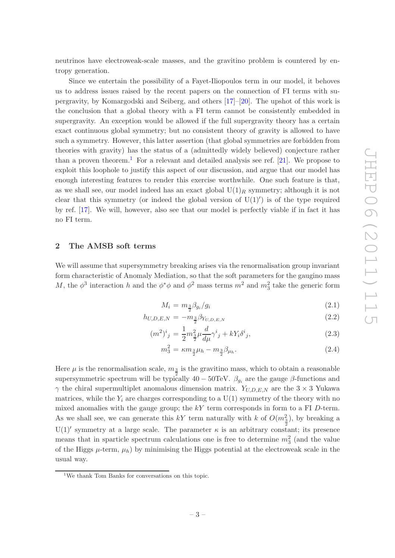neutrinos have electroweak-scale masses, and the gravitino problem is countered by entropy generation.

Since we entertain the possibility of a Fayet-Iliopoulos term in our model, it behoves us to address issues raised by the recent papers on the connection of FI terms with supergravity, by Komargodski and Seiberg, and others [\[17](#page-27-10)]–[\[20](#page-28-0)]. The upshot of this work is the conclusion that a global theory with a FI term cannot be consistently embedded in supergravity. An exception would be allowed if the full supergravity theory has a certain exact continuous global symmetry; but no consistent theory of gravity is allowed to have such a symmetry. However, this latter assertion (that global symmetries are forbidden from theories with gravity) has the status of a (admittedly widely believed) conjecture rather than a proven theorem.<sup>[1](#page-4-1)</sup> For a relevant and detailed analysis see ref. [\[21](#page-28-1)]. We propose to exploit this loophole to justify this aspect of our discussion, and argue that our model has enough interesting features to render this exercise worthwhile. One such feature is that, as we shall see, our model indeed has an exact global  $U(1)_R$  symmetry; although it is not clear that this symmetry (or indeed the global version of  $U(1)'$ ) is of the type required by ref. [\[17](#page-27-10)]. We will, however, also see that our model is perfectly viable if in fact it has no FI term.

#### <span id="page-4-0"></span>2 The AMSB soft terms

We will assume that supersymmetry breaking arises via the renormalisation group invariant form characteristic of Anomaly Mediation, so that the soft parameters for the gaugino mass M, the  $\phi^3$  interaction h and the  $\phi^*\phi$  and  $\phi^2$  mass terms  $m^2$  and  $m_3^2$  take the generic form

<span id="page-4-2"></span>
$$
M_i = m_{\frac{3}{2}} \beta_{g_i} / g_i \tag{2.1}
$$

$$
h_{U,D,E,N} = -m_{\frac{3}{2}} \beta_{Y_{U,D,E,N}} \tag{2.2}
$$

$$
(m^2)^i{}_j = \frac{1}{2}m_{\frac{3}{2}}^2\mu \frac{d}{d\mu}\gamma^i{}_j + kY_i\delta^i{}_j,\tag{2.3}
$$

$$
m_3^2 = \kappa m_{\frac{3}{2}} \mu_h - m_{\frac{3}{2}} \beta_{\mu_h}.
$$
\n(2.4)

Here  $\mu$  is the renormalisation scale,  $m_{\frac{3}{2}}$  is the gravitino mass, which to obtain a reasonable supersymmetric spectrum will be typically  $40 - 50$ TeV.  $\beta_{g_i}$  are the gauge  $\beta$ -functions and  $\gamma$  the chiral supermultiplet anomalous dimension matrix.  $Y_{U,D,E,N}$  are the 3  $\times$  3 Yukawa matrices, while the  $Y_i$  are charges corresponding to a  $U(1)$  symmetry of the theory with no mixed anomalies with the gauge group; the  $kY$  term corresponds in form to a FI D-term. As we shall see, we can generate this  $kY$  term naturally with k of  $O(m_{\frac{3}{2}}^2)$ , by breaking a  $U(1)$ <sup>'</sup> symmetry at a large scale. The parameter  $\kappa$  is an arbitrary constant; its presence means that in sparticle spectrum calculations one is free to determine  $m_3^2$  (and the value of the Higgs  $\mu$ -term,  $\mu_h$ ) by minimising the Higgs potential at the electroweak scale in the usual way.

<span id="page-4-1"></span><sup>1</sup>We thank Tom Banks for conversations on this topic.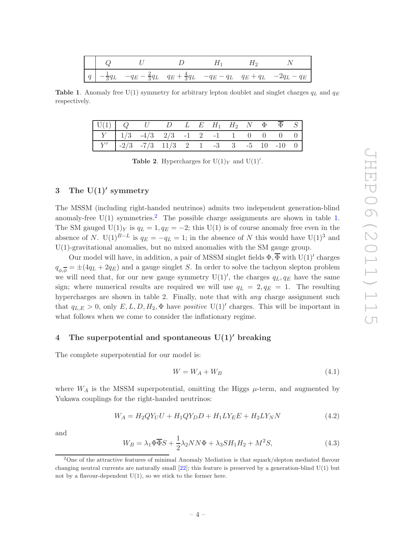**Table 1.** Anomaly free U(1) symmetry for arbitrary lepton doublet and singlet charges  $q_L$  and  $q_E$ respectively.

<span id="page-5-3"></span>

| $\begin{array}{ c ccccccccccccccc }\hline \text{U}(1) & Q & U & D & L & E & H_1 & H_2 & N & \Phi & \overline{\Phi} & S\end{array}$ |  |  |  |  |  |  |
|------------------------------------------------------------------------------------------------------------------------------------|--|--|--|--|--|--|
| $\begin{array}{ c ccccccccccc }\hline Y&1/3&-4/3&2/3&-1&2&-1&1&0&0&0&0 \ \hline \end{array}$                                       |  |  |  |  |  |  |
| $Y'$ -2/3 -7/3 11/3 2 1 -3 3 -5 10 -10 0                                                                                           |  |  |  |  |  |  |

**Table 2.** Hypercharges for  $U(1)_Y$  and  $U(1)'$ .

# <span id="page-5-0"></span>3 The  $U(1)'$  symmetry

The MSSM (including right-handed neutrinos) admits two independent generation-blind anomaly-free  $U(1)$  symmetries.<sup>[2](#page-5-2)</sup> The possible charge assignments are shown in table [1.](#page-5-3) The SM gauged  $U(1)_Y$  is  $q_L = 1, q_E = -2$ ; this  $U(1)$  is of course anomaly free even in the absence of N. U(1)<sup>B−L</sup> is  $q_E = -q_L = 1$ ; in the absence of N this would have U(1)<sup>3</sup> and U(1)-gravitational anomalies, but no mixed anomalies with the SM gauge group.

Our model will have, in addition, a pair of MSSM singlet fields  $\Phi$ ,  $\Phi$  with U(1)' charges  $q_{\phi,\phi} = \pm (4q_L + 2q_E)$  and a gauge singlet S. In order to solve the tachyon slepton problem we will need that, for our new gauge symmetry  $U(1)'$ , the charges  $q_L, q_E$  have the same sign; where numerical results are required we will use  $q_L = 2, q_E = 1$ . The resulting hypercharges are shown in table 2. Finally, note that with *any* charge assignment such that  $q_{L,E} > 0$ , only  $E, L, D, H_2, \Phi$  have *positive* U(1)' charges. This will be important in what follows when we come to consider the inflationary regime.

#### <span id="page-5-1"></span>4 The superpotential and spontaneous U(1)′ breaking

The complete superpotential for our model is:

<span id="page-5-4"></span>
$$
W = W_A + W_B \tag{4.1}
$$

where  $W_A$  is the MSSM superpotential, omitting the Higgs  $\mu$ -term, and augmented by Yukawa couplings for the right-handed neutrinos:

$$
W_A = H_2 Q Y_U U + H_1 Q Y_D D + H_1 L Y_E E + H_2 L Y_N N \tag{4.2}
$$

and

$$
W_B = \lambda_1 \Phi \overline{\Phi} S + \frac{1}{2} \lambda_2 N N \Phi + \lambda_3 S H_1 H_2 + M^2 S,
$$
\n(4.3)

<span id="page-5-2"></span><sup>&</sup>lt;sup>2</sup>One of the attractive features of minimal Anomaly Mediation is that squark/slepton mediated flavour changing neutral currents are naturally small  $[22]$ ; this feature is preserved by a generation-blind  $U(1)$  but not by a flavour-dependent  $U(1)$ , so we stick to the former here.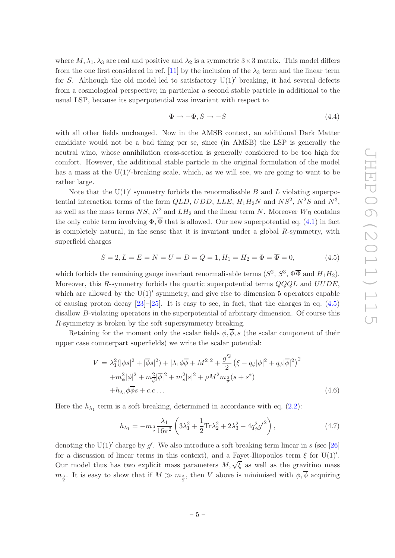where  $M, \lambda_1, \lambda_3$  are real and positive and  $\lambda_2$  is a symmetric  $3 \times 3$  matrix. This model differs from the one first considered in ref. [\[11](#page-27-5)] by the inclusion of the  $\lambda_3$  term and the linear term for S. Although the old model led to satisfactory  $U(1)'$  breaking, it had several defects from a cosmological perspective; in particular a second stable particle in additional to the usual LSP, because its superpotential was invariant with respect to

$$
\overline{\Phi} \to -\overline{\Phi}, S \to -S \tag{4.4}
$$

with all other fields unchanged. Now in the AMSB context, an additional Dark Matter candidate would not be a bad thing per se, since (in AMSB) the LSP is generally the neutral wino, whose annihilation cross-section is generally considered to be too high for comfort. However, the additional stable particle in the original formulation of the model has a mass at the U(1)′ -breaking scale, which, as we will see, we are going to want to be rather large.

Note that the  $U(1)'$  symmetry forbids the renormalisable  $B$  and  $L$  violating superpotential interaction terms of the form  $QLD$ ,  $UDD$ ,  $LLE$ ,  $H_1H_2N$  and  $NS^2$ ,  $N^2S$  and  $N^3$ , as well as the mass terms  $NS$ ,  $N^2$  and  $LH_2$  and the linear term N. Moreover  $W_B$  contains the only cubic term involving  $\Phi$ ,  $\overline{\Phi}$  that is allowed. Our new superpotential eq. [\(4.1\)](#page-5-4) in fact is completely natural, in the sense that it is invariant under a global  $R$ -symmetry, with superfield charges

<span id="page-6-0"></span>
$$
S = 2, L = E = N = U = D = Q = 1, H_1 = H_2 = \Phi = \overline{\Phi} = 0,
$$
\n(4.5)

which forbids the remaining gauge invariant renormalisable terms  $(S^2, S^3, \Phi \overline{\Phi}$  and  $H_1 H_2)$ . Moreover, this R-symmetry forbids the quartic superpotential terms  $QQQL$  and  $UUDE$ , which are allowed by the  $U(1)'$  symmetry, and give rise to dimension 5 operators capable of causing proton decay  $[23]$ – $[25]$  $[25]$ . It is easy to see, in fact, that the charges in eq.  $(4.5)$ disallow B-violating operators in the superpotential of arbitrary dimension. Of course this R-symmetry is broken by the soft supersymmetry breaking.

Retaining for the moment only the scalar fields  $\phi$ ,  $\overline{\phi}$ , s (the scalar component of their upper case counterpart superfields) we write the scalar potential:

$$
V = \lambda_1^2 (|\phi s|^2 + |\overline{\phi} s|^2) + |\lambda_1 \phi \overline{\phi} + M^2|^2 + \frac{g'^2}{2} (\xi - q_\phi |\phi|^2 + q_\phi |\overline{\phi}|^2)^2
$$
  
+  $m_\phi^2 |\phi|^2 + m_\phi^2 |\overline{\phi}|^2 + m_s^2 |s|^2 + \rho M^2 m_{\frac{3}{2}} (s + s^*)$   
+  $h_{\lambda_1} \phi \overline{\phi} s + c.c...$  (4.6)

Here the  $h_{\lambda_1}$  term is a soft breaking, determined in accordance with eq. [\(2.2\)](#page-4-2):

$$
h_{\lambda_1} = -m_{\frac{3}{2}} \frac{\lambda_1}{16\pi^2} \left( 3\lambda_1^2 + \frac{1}{2} \text{Tr}\lambda_2^2 + 2\lambda_3^2 - 4q_\phi^2 {g'}^2 \right),\tag{4.7}
$$

denoting the U(1)' charge by g'. We also introduce a soft breaking term linear in s (see [\[26\]](#page-28-5) for a discussion of linear terms in this context), and a Fayet-Iliopoulos term  $\xi$  for U(1)'. Our model thus has two explicit mass parameters  $M, \sqrt{\xi}$  as well as the gravitino mass  $m_{\frac{3}{2}}$ . It is easy to show that if  $M \gg m_{\frac{3}{2}}$ , then V above is minimised with  $\phi, \phi$  acquiring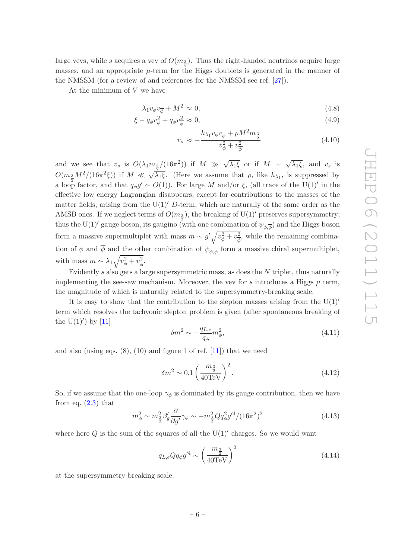large vevs, while s acquires a vev of  $O(m_{\frac{3}{2}})$ . Thus the right-handed neutrinos acquire large masses, and an appropriate  $\mu$ -term for the Higgs doublets is generated in the manner of the NMSSM (for a review of and references for the NMSSM see ref. [\[27](#page-28-6)]).

At the minimum of  $V$  we have

<span id="page-7-1"></span>
$$
\lambda_1 v_\phi v_{\overline{\phi}} + M^2 \approx 0,\tag{4.8}
$$

$$
\xi - q_{\phi} v_{\phi}^2 + q_{\phi} v_{\phi}^2 \approx 0, \qquad (4.9)
$$

$$
v_s \approx -\frac{h_{\lambda_1} v_{\phi} v_{\overline{\phi}} + \rho M^2 m_{\frac{3}{2}}}{v_{\phi}^2 + v_{\overline{\phi}}^2}
$$
(4.10)

and we see that  $v_s$  is  $O(\lambda_1 m_{\frac{3}{2}}/(16\pi^2))$  if  $M \gg \sqrt{\lambda_1 \xi}$  or if  $M \sim \sqrt{\lambda_1 \xi}$ , and  $v_s$  is  $O(m_{\frac{3}{2}}M^2/(16\pi^2\xi))$  if  $M \ll \sqrt{\lambda_1\xi}$ . (Here we assume that  $\rho$ , like  $h_{\lambda_1}$ , is suppressed by a loop factor, and that  $q_{\phi}g' \sim O(1)$ ). For large M and/or  $\xi$ , (all trace of the U(1)' in the effective low energy Lagrangian disappears, except for contributions to the masses of the matter fields, arising from the  $U(1)'$  D-term, which are naturally of the same order as the AMSB ones. If we neglect terms of  $O(m_2)$ , the breaking of U(1)' preserves supersymmetry; thus the U(1)' gauge boson, its gaugino (with one combination of  $\psi_{\phi,\overline{\phi}}$ ) and the Higgs boson form a massive supermultiplet with mass  $m \sim g' \sqrt{v_{\phi}^2 + v_{\phi}^2}$  $\frac{2}{\phi}$ , while the remaining combination of  $\phi$  and  $\phi$  and the other combination of  $\psi_{\phi,\overline{\phi}}$  form a massive chiral supermultiplet, with mass  $m \sim \lambda_1 \sqrt{v_{\phi}^2 + v_{\phi}^2}$  $\frac{2}{\phi}$ .

Evidently s also gets a large supersymmetric mass, as does the  $N$  triplet, thus naturally implementing the see-saw mechanism. Moreover, the vev for s introduces a Higgs  $\mu$  term, the magnitude of which is naturally related to the supersymmetry-breaking scale.

It is easy to show that the contribution to the slepton masses arising from the  $U(1)'$ term which resolves the tachyonic slepton problem is given (after spontaneous breaking of the  $U(1)'$  by  $[11]$ 

<span id="page-7-2"></span>
$$
\delta m^2 \sim -\frac{q_{L,e}}{q_\phi} m_\phi^2,\tag{4.11}
$$

and also (using eqs.  $(8)$ ,  $(10)$  and figure 1 of ref.  $[11]$ ) that we need

$$
\delta m^2 \sim 0.1 \left(\frac{m_{\frac{3}{2}}}{40 \,\text{TeV}}\right)^2. \tag{4.12}
$$

So, if we assume that the one-loop  $\gamma_{\phi}$  is dominated by its gauge contribution, then we have from eq.  $(2.3)$  that

$$
m_{\phi}^2 \sim m_{\frac{3}{2}}^2 \beta_g' \frac{\partial}{\partial g'} \gamma_{\phi} \sim -m_{\frac{3}{2}}^2 Q q_{\phi}^2 g'^4 / (16\pi^2)^2 \tag{4.13}
$$

where here  $Q$  is the sum of the squares of all the  $U(1)'$  charges. So we would want

<span id="page-7-0"></span>
$$
q_{L,e} Q q_{\phi} g'^4 \sim \left(\frac{m_{\frac{3}{2}}}{40 \,\text{TeV}}\right)^2 \tag{4.14}
$$

at the supersymmetry breaking scale.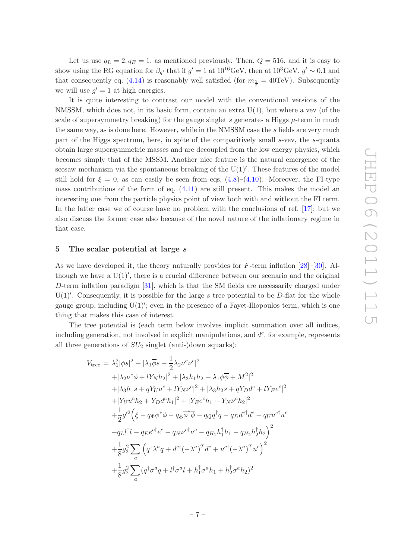Let us use  $q_L = 2, q_E = 1$ , as mentioned previously. Then,  $Q = 516$ , and it is easy to show using the RG equation for  $\beta_{g'}$  that if  $g' = 1$  at  $10^{16} \text{GeV}$ , then at  $10^{3} \text{GeV}$ ,  $g' \sim 0.1$  and that consequently eq. [\(4.14\)](#page-7-0) is reasonably well satisfied (for  $m_{\frac{3}{2}} = 40 \text{TeV}$ ). Subsequently we will use  $g' = 1$  at high energies.

It is quite interesting to contrast our model with the conventional versions of the NMSSM, which does not, in its basic form, contain an extra  $U(1)$ , but where a vev (of the scale of supersymmetry breaking) for the gauge singlet s generates a Higgs  $\mu$ -term in much the same way, as is done here. However, while in the NMSSM case the s fields are very much part of the Higgs spectrum, here, in spite of the comparitively small s-vev, the s-quanta obtain large supersymmetric masses and are decoupled from the low energy physics, which becomes simply that of the MSSM. Another nice feature is the natural emergence of the seesaw mechanism via the spontaneous breaking of the U(1)′ . These features of the model still hold for  $\xi = 0$ , as can easily be seen from eqs. [\(4.8\)](#page-7-1)–[\(4.10\)](#page-7-1). Moreover, the FI-type mass contributions of the form of eq. [\(4.11\)](#page-7-2) are still present. This makes the model an interesting one from the particle physics point of view both with and without the FI term. In the latter case we of course have no problem with the conclusions of ref. [\[17](#page-27-10)]; but we also discuss the former case also because of the novel nature of the inflationary regime in that case.

#### <span id="page-8-0"></span>5 The scalar potential at large s

As we have developed it, the theory naturally provides for F-term inflation [\[28](#page-28-7)]–[\[30](#page-28-8)]. Although we have a  $U(1)'$ , there is a crucial difference between our scenario and the original D-term inflation paradigm [\[31](#page-28-9)], which is that the SM fields are necessarily charged under  $U(1)'$ . Consequently, it is possible for the large s tree potential to be D-flat for the whole gauge group, including U(1)′ ; even in the presence of a Fayet-Iliopoulos term, which is one thing that makes this case of interest.

The tree potential is (each term below involves implicit summation over all indices, including generation, not involved in explicit manipulations, and  $d^c$ , for example, represents all three generations of  $SU_2$  singlet (anti-)down squarks):

<span id="page-8-1"></span>
$$
V_{\text{tree}} = \lambda_1^2 |\phi s|^2 + |\lambda_1 \overline{\phi} s + \frac{1}{2} \lambda_2 \nu^c \nu^c|^2
$$
  
+  $|\lambda_2 \nu^c \phi + l Y_N h_2|^2 + |\lambda_3 h_1 h_2 + \lambda_1 \phi \overline{\phi} + M^2|^2$   
+  $|\lambda_3 h_1 s + q Y_U u^c + l Y_N \nu^c|^2 + |\lambda_3 h_2 s + q Y_D d^c + l Y_E e^c|^2$   
+  $|Y_U u^c h_2 + Y_D d^c h_1|^2 + |Y_E e^c h_1 + Y_N \nu^c h_2|^2$   
+  $\frac{1}{2} g'^2 \left( \xi - q_\Phi \phi^* \phi - q_{\overline{\Phi}} \overline{\phi}^* \overline{\phi} - q_Q q^\dagger q - q_D d^{c\dagger} d^c - q_U u^{c\dagger} u^c$   
-  $q_L l^\dagger l - q_E e^{c\dagger} e^c - q_N \nu^{c\dagger} \nu^c - q_{H_1} h_1^\dagger h_1 - q_{H_2} h_2^\dagger h_2 \right)^2$   
+  $\frac{1}{8} g_3^2 \sum_a \left( q^\dagger \lambda^a q + d^{c\dagger} (-\lambda^a)^T d^c + u^{c\dagger} (-\lambda^a)^T u^c \right)^2$   
+  $\frac{1}{8} g_2^2 \sum_a (q^\dagger \sigma^a q + l^\dagger \sigma^a l + h_1^\dagger \sigma^a h_1 + h_2^\dagger \sigma^a h_2)^2$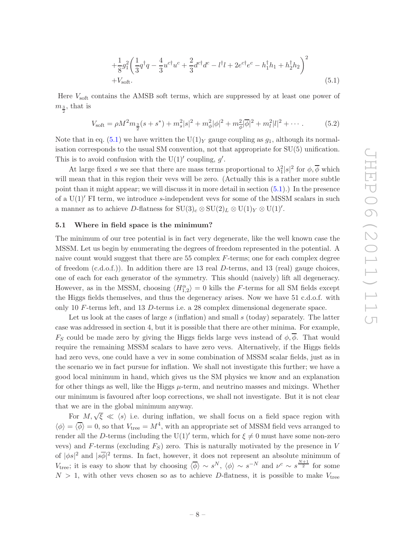$$
+\frac{1}{8}g_1^2\left(\frac{1}{3}q^{\dagger}q - \frac{4}{3}u^{c\dagger}u^c + \frac{2}{3}d^{c\dagger}d^c - l^{\dagger}l + 2e^{c\dagger}e^c - h_1^{\dagger}h_1 + h_2^{\dagger}h_2\right)^2
$$
  
+ $V_{\text{soft}}.$  (5.1)

Here  $V_{\text{soft}}$  contains the AMSB soft terms, which are suppressed by at least one power of  $m_{\frac{3}{2}},$  that is

$$
V_{\text{soft}} = \rho M^2 m_{\frac{3}{2}}(s+s^*) + m_s^2 |s|^2 + m_\phi^2 |\phi|^2 + m_\phi^2 |\overline{\phi}|^2 + m_l^2 |l|^2 + \cdots
$$
 (5.2)

Note that in eq. [\(5.1\)](#page-8-1) we have written the U(1)<sub>Y</sub> gauge coupling as  $g_1$ , although its normalisation corresponds to the usual SM convention, not that appropriate for SU(5) unification. This is to avoid confusion with the  $U(1)'$  coupling, g'.

At large fixed s we see that there are mass terms proportional to  $\lambda_1^2 |s|^2$  for  $\phi$ ,  $\phi$  which will mean that in this region their vevs will be zero. (Actually this is a rather more subtle point than it might appear; we will discuss it in more detail in section  $(5.1)$ .) In the presence of a  $U(1)'$  FI term, we introduce s-independent vevs for some of the MSSM scalars in such a manner as to achieve D-flatness for  $\mathrm{SU}(3)_{c} \otimes \mathrm{SU}(2)_{L} \otimes \mathrm{U}(1)_{Y} \otimes \mathrm{U}(1)'$ .

#### <span id="page-9-0"></span>5.1 Where in field space is the minimum?

The minimum of our tree potential is in fact very degenerate, like the well known case the MSSM. Let us begin by enumerating the degrees of freedom represented in the potential. A naive count would suggest that there are  $55$  complex  $F$ -terms; one for each complex degree of freedom  $(c.d.o.f.)$ ). In addition there are 13 real D-terms, and 13 (real) gauge choices, one of each for each generator of the symmetry. This should (naively) lift all degeneracy. However, as in the MSSM, choosing  $\langle H_{1,2}^{\alpha} \rangle = 0$  kills the F-terms for all SM fields except the Higgs fields themselves, and thus the degeneracy arises. Now we have 51 c.d.o.f. with only 10 F-terms left, and 13 D-terms i.e. a 28 complex dimensional degenerate space.

Let us look at the cases of large  $s$  (inflation) and small  $s$  (today) separately. The latter case was addressed in section 4, but it is possible that there are other minima. For example,  $F_S$  could be made zero by giving the Higgs fields large vevs instead of  $\phi$ ,  $\overline{\phi}$ . That would require the remaining MSSM scalars to have zero vevs. Alternatively, if the Higgs fields had zero vevs, one could have a vev in some combination of MSSM scalar fields, just as in the scenario we in fact pursue for inflation. We shall not investigate this further; we have a good local minimum in hand, which gives us the SM physics we know and an explanation for other things as well, like the Higgs  $\mu$ -term, and neutrino masses and mixings. Whether our minimum is favoured after loop corrections, we shall not investigate. But it is not clear that we are in the global minimum anyway.

For  $M, \sqrt{\xi} \ll \langle s \rangle$  i.e. during inflation, we shall focus on a field space region with  $\langle \phi \rangle = \langle \overline{\phi} \rangle = 0$ , so that  $V_{\text{tree}} = M^4$ , with an appropriate set of MSSM field vevs arranged to render all the D-terms (including the U(1)<sup> $\prime$ </sup> term, which for  $\xi \neq 0$  must have some non-zero vevs) and F-terms (excluding  $F<sub>S</sub>$ ) zero. This is naturally motivated by the presence in V of  $|\phi s|^2$  and  $|s\overline{\phi}|^2$  terms. In fact, however, it does not represent an absolute minimum of  $V_{\text{tree}}$ ; it is easy to show that by choosing  $\langle \overline{\phi} \rangle \sim s^N$ ,  $\langle \phi \rangle \sim s^{-N}$  and  $\nu^c \sim s^{\frac{N+1}{2}}$  for some  $N > 1$ , with other vevs chosen so as to achieve D-flatness, it is possible to make  $V_{\text{tree}}$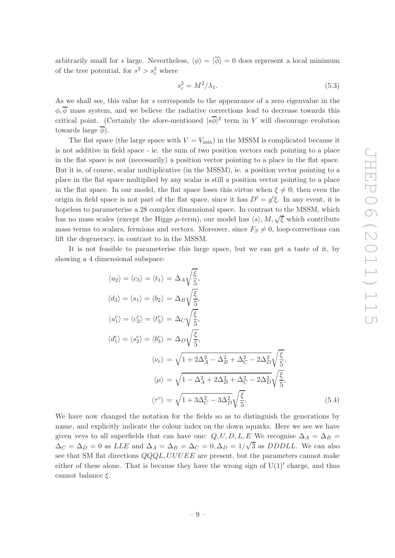arbitrarily small for s large. Nevertheless,  $\langle \phi \rangle = \langle \overline{\phi} \rangle = 0$  does represent a local minimum of the tree potential, for  $s^2 > s_c^2$  where

<span id="page-10-0"></span>
$$
s_c^2 = M^2/\lambda_1. \tag{5.3}
$$

As we shall see, this value for s corresponds to the appearance of a zero eigenvalue in the  $\phi, \overline{\phi}$  mass system, and we believe the radiative corrections lead to decrease towards this critical point. (Certainly the afore-mentioned  $|s\overline{\phi}|^2$  term in V will discourage evolution towards large  $\phi$ ).

The flat space (the large space with  $V = V_{\text{min}}$ ) in the MSSM is complicated because it is not additive in field space - ie. the sum of two position vectors each pointing to a place in the flat space is not (necessarily) a position vector pointing to a place in the flat space. But it is, of course, scalar multiplicative (in the MSSM), ie. a position vector pointing to a place in the flat space multiplied by any scalar is still a position vector pointing to a place in the flat space. In our model, the flat space loses this virtue when  $\xi \neq 0$ ; then even the origin in field space is not part of the flat space, since it has  $D' = g'\xi$ . In any event, it is hopeless to parameterise a 28 complex dimensional space. In contrast to the MSSM, which has no mass scales (except the Higgs  $\mu$ -term), our model has  $\langle s \rangle, M, \sqrt{\xi}$  which contribute mass terms to scalars, fermions and vectors. Moreover, since  $F_s \neq 0$ , loop-corrections can lift the degeneracy, in contrast to in the MSSM.

It is not feasible to parameterise this large space, but we can get a taste of it, by showing a 4 dimensional subspace:

$$
\langle u_2 \rangle = \langle c_3 \rangle = \langle t_1 \rangle = \Delta_A \sqrt{\frac{\xi}{5}},
$$
  
\n
$$
\langle d_3 \rangle = \langle s_1 \rangle = \langle b_2 \rangle = \Delta_B \sqrt{\frac{\xi}{5}},
$$
  
\n
$$
\langle u_1^c \rangle = \langle c_2^c \rangle = \langle t_3^c \rangle = \Delta_C \sqrt{\frac{\xi}{5}},
$$
  
\n
$$
\langle d_1^c \rangle = \langle s_2^c \rangle = \langle b_3^c \rangle = \Delta_D \sqrt{\frac{\xi}{5}},
$$
  
\n
$$
\langle \nu_e \rangle = \sqrt{1 + 2\Delta_A^2 - \Delta_B^2 + \Delta_C^2 - 2\Delta_D^2} \sqrt{\frac{\xi}{5}},
$$
  
\n
$$
\langle \mu \rangle = \sqrt{1 - \Delta_A^2 + 2\Delta_B^2 + \Delta_C^2 - 2\Delta_D^2} \sqrt{\frac{\xi}{5}},
$$
  
\n
$$
\langle \tau^c \rangle = \sqrt{1 + 3\Delta_C^2 - 3\Delta_D^2} \sqrt{\frac{\xi}{5}}.
$$
\n(5.4)

We have now changed the notation for the fields so as to distinguish the generations by name, and explicitly indicate the colour index on the down squarks. Here we see we have given vevs to all superfields that can have one:  $Q, U, D, L, E$  We recognise  $\Delta_A = \Delta_B =$  $\Delta_C = \Delta_D = 0$  as *LLE* and  $\Delta_A = \Delta_B = \Delta_C = 0, \Delta_D = 1/\sqrt{3}$  as *DDDLL*. We can also see that SM flat directions  $QQQL, UUUEE$  are present, but the parameters cannot make either of these alone. That is because they have the wrong sign of  $U(1)$ <sup>'</sup> charge, and thus cannot balance  $\xi$ .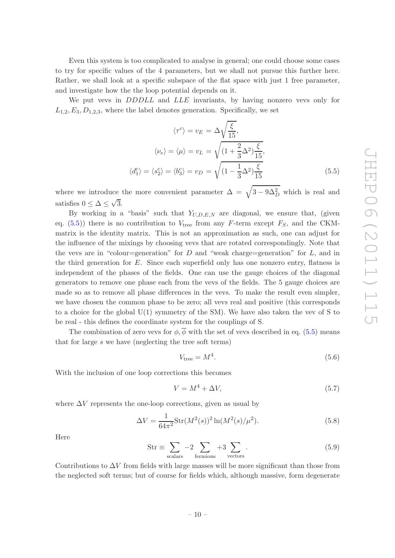Even this system is too complicated to analyse in general; one could choose some cases to try for specific values of the 4 parameters, but we shall not pursue this further here. Rather, we shall look at a specific subspace of the flat space with just 1 free parameter, and investigate how the the loop potential depends on it.

We put vevs in *DDDLL* and *LLE* invariants, by having nonzero vevs only for  $L_{1,2}, E_3, D_{1,2,3}$ , where the label denotes generation. Specifically, we set

<span id="page-11-0"></span>
$$
\langle \tau^c \rangle = v_E = \Delta \sqrt{\frac{\xi}{15}},
$$
  

$$
\langle \nu_e \rangle = \langle \mu \rangle = v_L = \sqrt{(1 + \frac{2}{3}\Delta^2) \frac{\xi}{15}},
$$
  

$$
\langle d_1^c \rangle = \langle s_2^c \rangle = \langle b_3^c \rangle = v_D = \sqrt{(1 - \frac{1}{3}\Delta^2) \frac{\xi}{15}}
$$
(5.5)

where we introduce the more convenient parameter  $\Delta = \sqrt{3 - 9\Delta_D^2}$  which is real and satisfies  $0 \leq \Delta \leq \sqrt{3}$ .

By working in a "basis" such that  $Y_{U,D,E,N}$  are diagonal, we ensure that, (given eq.  $(5.5)$ ) there is no contribution to  $V_{\text{tree}}$  from any F-term except  $F_S$ , and the CKMmatrix is the identity matrix. This is not an approximation as such, one can adjust for the influence of the mixings by choosing vevs that are rotated correspondingly. Note that the vevs are in "colour=generation" for  $D$  and "weak charge=generation" for  $L$ , and in the third generation for  $E$ . Since each superfield only has one nonzero entry, flatness is independent of the phases of the fields. One can use the gauge choices of the diagonal generators to remove one phase each from the vevs of the fields. The 5 gauge choices are made so as to remove all phase differences in the vevs. To make the result even simpler, we have chosen the common phase to be zero; all vevs real and positive (this corresponds to a choice for the global U(1) symmetry of the SM). We have also taken the vev of S to be real - this defines the coordinate system for the couplings of S.

The combination of zero vevs for  $\phi$ ,  $\overline{\phi}$  with the set of vevs described in eq. [\(5.5\)](#page-11-0) means that for large  $s$  we have (neglecting the tree soft terms)

$$
V_{\text{tree}} = M^4. \tag{5.6}
$$

With the inclusion of one loop corrections this becomes

$$
V = M^4 + \Delta V,\tag{5.7}
$$

where  $\Delta V$  represents the one-loop corrections, given as usual by

<span id="page-11-1"></span>
$$
\Delta V = \frac{1}{64\pi^2} \text{Str}(M^2(s))^2 \ln(M^2(s)/\mu^2). \tag{5.8}
$$

Here

$$
Str \equiv \sum_{\text{scalars}} -2 \sum_{\text{fermions}} +3 \sum_{\text{vectors}}.
$$
 (5.9)

Contributions to  $\Delta V$  from fields with large masses will be more significant than those from the neglected soft terms; but of course for fields which, although massive, form degenerate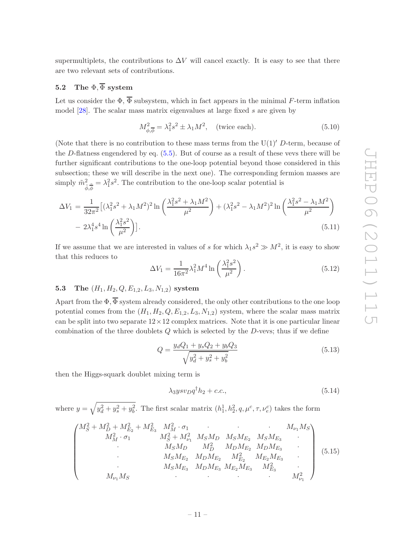supermultiplets, the contributions to  $\Delta V$  will cancel exactly. It is easy to see that there are two relevant sets of contributions.

# <span id="page-12-0"></span>5.2 The  $\Phi$ ,  $\overline{\Phi}$  system

Let us consider the  $\Phi$ ,  $\overline{\Phi}$  subsystem, which in fact appears in the minimal F-term inflation model [\[28\]](#page-28-7). The scalar mass matrix eigenvalues at large fixed s are given by

<span id="page-12-4"></span>
$$
M_{\phi,\overline{\phi}}^2 = \lambda_1^2 s^2 \pm \lambda_1 M^2, \quad \text{(twice each)}.
$$
 (5.10)

(Note that there is no contribution to these mass terms from the  $U(1)'$  D-term, because of the D-flatness engendered by eq. [\(5.5\)](#page-11-0). But of course as a result of these vevs there will be further significant contributions to the one-loop potential beyond those considered in this subsection; these we will describe in the next one). The corresponding fermion masses are simply  $\tilde{m}^2_{\tilde{\phi}, \tilde{\phi}} = \lambda_1^2 s^2$ . The contribution to the one-loop scalar potential is

$$
\Delta V_1 = \frac{1}{32\pi^2} \left[ (\lambda_1^2 s^2 + \lambda_1 M^2)^2 \ln \left( \frac{\lambda_1^2 s^2 + \lambda_1 M^2}{\mu^2} \right) + (\lambda_1^2 s^2 - \lambda_1 M^2)^2 \ln \left( \frac{\lambda_1^2 s^2 - \lambda_1 M^2}{\mu^2} \right) - 2\lambda_1^4 s^4 \ln \left( \frac{\lambda_1^2 s^2}{\mu^2} \right) \right].
$$
\n(5.11)

If we assume that we are interested in values of s for which  $\lambda_1 s^2 \gg M^2$ , it is easy to show that this reduces to

<span id="page-12-3"></span>
$$
\Delta V_1 = \frac{1}{16\pi^2} \lambda_1^2 M^4 \ln\left(\frac{\lambda_1^2 s^2}{\mu^2}\right).
$$
 (5.12)

# <span id="page-12-1"></span>5.3 The  $(H_1, H_2, Q, E_{1,2}, L_3, N_{1,2})$  system

Apart from the  $\Phi$ ,  $\overline{\Phi}$  system already considered, the only other contributions to the one loop potential comes from the  $(H_1, H_2, Q, E_{1,2}, L_3, N_{1,2})$  system, where the scalar mass matrix can be split into two separate  $12 \times 12$  complex matrices. Note that it is one particular linear combination of the three doublets  $Q$  which is selected by the  $D$ -vevs; thus if we define

$$
Q = \frac{y_d Q_1 + y_s Q_2 + y_b Q_3}{\sqrt{y_d^2 + y_s^2 + y_b^2}}
$$
\n(5.13)

then the Higgs-squark doublet mixing term is

$$
\lambda_3 y s v_D q^\dagger h_2 + c.c.,\tag{5.14}
$$

where  $y = \sqrt{y_d^2 + y_s^2 + y_b^2}$ . The first scalar matrix  $(h_1^1, h_2^2, q, \mu^c, \tau, \nu_e^c)$  takes the form

<span id="page-12-2"></span>
$$
\begin{pmatrix}\nM_S^2 + M_D^2 + M_{E_2}^2 + M_{E_3}^2 & M_M^2 \cdot \sigma_1 & \cdot & M_{\nu_1} M_S \\
M_M^2 \cdot \sigma_1 & M_S^2 + M_{\nu_1}^2 & M_S M_D & M_S M_{E_2} & M_S M_{E_3} \\
\cdot & M_S M_D & M_D^2 & M_D M_{E_2} & M_D M_{E_3} \\
\cdot & M_S M_{E_2} & M_D M_{E_2} & M_{E_2} & M_{E_2} M_{E_3} \\
\cdot & M_S M_{E_3} & M_D M_{E_3} & M_{E_2} M_{E_3} & M_{E_3}^2 \\
\cdot & M_{\nu_1} M_S & \cdot & M_{\nu_2}^2\n\end{pmatrix}
$$
\n(5.15)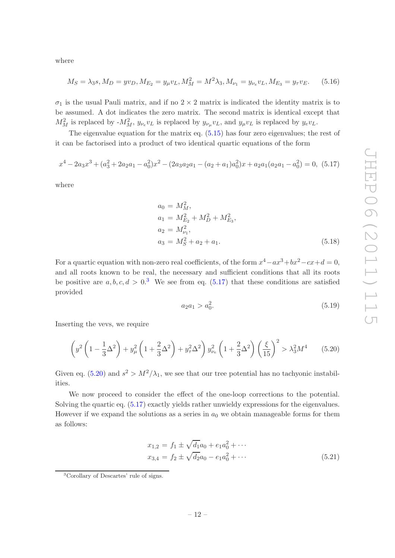where

$$
M_S = \lambda_3 s, M_D = yv_D, M_{E_2} = y_\mu v_L, M_M^2 = M^2 \lambda_3, M_{\nu_1} = y_{\nu_e} v_L, M_{E_3} = y_\tau v_E. \tag{5.16}
$$

 $\sigma_1$  is the usual Pauli matrix, and if no  $2 \times 2$  matrix is indicated the identity matrix is to be assumed. A dot indicates the zero matrix. The second matrix is identical except that  $M_M^2$  is replaced by  $-M_M^2$ ,  $y_{\nu_e}v_L$  is replaced by  $y_{\nu_\mu}v_L$ , and  $y_\mu v_L$  is replaced by  $y_e v_L$ .

The eigenvalue equation for the matrix eq. [\(5.15\)](#page-12-2) has four zero eigenvalues; the rest of it can be factorised into a product of two identical quartic equations of the form

<span id="page-13-1"></span>
$$
x^{4}-2a_{3}x^{3}+(a_{3}^{2}+2a_{2}a_{1}-a_{0}^{2})x^{2}-(2a_{3}a_{2}a_{1}-(a_{2}+a_{1})a_{0}^{2})x+a_{2}a_{1}(a_{2}a_{1}-a_{0}^{2})=0, (5.17)
$$

where

$$
a_0 = M_M^2,
$$
  
\n
$$
a_1 = M_{E_2}^2 + M_D^2 + M_{E_3}^2,
$$
  
\n
$$
a_2 = M_{\nu_1}^2,
$$
  
\n
$$
a_3 = M_S^2 + a_2 + a_1.
$$
\n(5.18)

For a quartic equation with non-zero real coefficients, of the form  $x^4 - ax^3 + bx^2 - cx + d = 0$ , and all roots known to be real, the necessary and sufficient conditions that all its roots be positive are  $a, b, c, d > 0$ .<sup>[3](#page-13-0)</sup> We see from eq. [\(5.17\)](#page-13-1) that these conditions are satisfied provided

<span id="page-13-3"></span>
$$
a_2 a_1 > a_0^2. \tag{5.19}
$$

Inserting the vevs, we require

<span id="page-13-2"></span>
$$
\left(y^2 \left(1 - \frac{1}{3}\Delta^2\right) + y_\mu^2 \left(1 + \frac{2}{3}\Delta^2\right) + y_\tau^2 \Delta^2\right) y_{\nu_e}^2 \left(1 + \frac{2}{3}\Delta^2\right) \left(\frac{\xi}{15}\right)^2 > \lambda_3^2 M^4 \tag{5.20}
$$

Given eq. [\(5.20\)](#page-13-2) and  $s^2 > M^2/\lambda_1$ , we see that our tree potential has no tachyonic instabilities.

We now proceed to consider the effect of the one-loop corrections to the potential. Solving the quartic eq. [\(5.17\)](#page-13-1) exactly yields rather unwieldy expressions for the eigenvalues. However if we expand the solutions as a series in  $a_0$  we obtain manageable forms for them as follows:

<span id="page-13-4"></span>
$$
x_{1,2} = f_1 \pm \sqrt{d_1} a_0 + e_1 a_0^2 + \cdots
$$
  
\n
$$
x_{3,4} = f_2 \pm \sqrt{d_2} a_0 - e_1 a_0^2 + \cdots
$$
\n(5.21)

<span id="page-13-0"></span><sup>3</sup>Corollary of Descartes' rule of signs.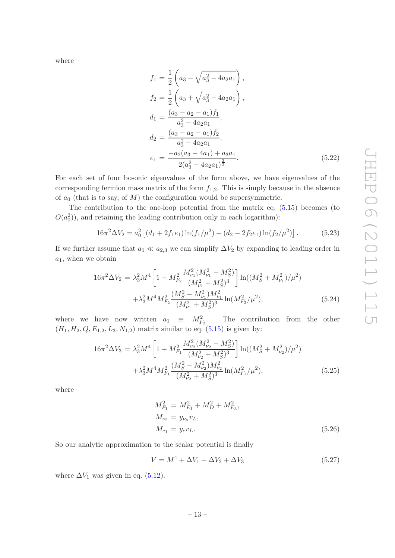where

$$
f_1 = \frac{1}{2} \left( a_3 - \sqrt{a_3^2 - 4a_2 a_1} \right),
$$
  
\n
$$
f_2 = \frac{1}{2} \left( a_3 + \sqrt{a_3^2 - 4a_2 a_1} \right),
$$
  
\n
$$
d_1 = \frac{(a_3 - a_2 - a_1) f_1}{a_3^2 - 4a_2 a_1},
$$
  
\n
$$
d_2 = \frac{(a_3 - a_2 - a_1) f_2}{a_3^2 - 4a_2 a_1},
$$
  
\n
$$
e_1 = \frac{-a_2 (a_3 - 4a_1) + a_3 a_1}{2(a_3^2 - 4a_2 a_1)^{\frac{3}{2}}}.
$$
\n(5.22)

For each set of four bosonic eigenvalues of the form above, we have eigenvalues of the corresponding fermion mass matrix of the form  $f_{1,2}$ . This is simply because in the absence of  $a_0$  (that is to say, of M) the configuration would be supersymmetric.

The contribution to the one-loop potential from the matrix eq. [\(5.15\)](#page-12-2) becomes (to  $O(a_0^2)$ , and retaining the leading contribution only in each logarithm):

$$
16\pi^2 \Delta V_2 = a_0^2 \left[ (d_1 + 2f_1 e_1) \ln(f_1/\mu^2) + (d_2 - 2f_2 e_1) \ln(f_2/\mu^2) \right].
$$
 (5.23)

If we further assume that  $a_1 \ll a_{2,3}$  we can simplify  $\Delta V_2$  by expanding to leading order in  $a_1$ , when we obtain

<span id="page-14-0"></span>
$$
16\pi^{2}\Delta V_{2} = \lambda_{3}^{2}M^{4}\left[1 + M_{F_{2}}^{2}\frac{M_{\nu_{1}}^{2}(M_{\nu_{1}}^{2} - M_{S}^{2})}{(M_{\nu_{1}}^{2} + M_{S}^{2})^{3}}\right] \ln((M_{S}^{2} + M_{\nu_{1}}^{2})/\mu^{2}) + \lambda_{3}^{2}M^{4}M_{F_{2}}^{2}\frac{(M_{S}^{2} - M_{\nu_{1}}^{2})M_{\nu_{1}}^{2}}{(M_{\nu_{1}}^{2} + M_{S}^{2})^{3}}\ln(M_{F_{2}}^{2}/\mu^{2}), \tag{5.24}
$$

where we have now written  $a_1 \equiv M_{F_2}^2$ . The contribution from the other  $(H_1, H_2, Q, E_{1,2}, L_3, N_{1,2})$  matrix similar to eq. [\(5.15\)](#page-12-2) is given by:

<span id="page-14-1"></span>
$$
16\pi^{2}\Delta V_{3} = \lambda_{3}^{2}M^{4}\left[1 + M_{F_{1}}^{2}\frac{M_{\nu_{2}}^{2}(M_{\nu_{2}}^{2} - M_{S}^{2})}{(M_{\nu_{2}}^{2} + M_{S}^{2})^{3}}\right] \ln((M_{S}^{2} + M_{\nu_{2}}^{2})/\mu^{2}) + \lambda_{3}^{2}M^{4}M_{F_{1}}^{2}\frac{(M_{S}^{2} - M_{\nu_{2}}^{2})M_{\nu_{2}}^{2}}{(M_{\nu_{2}}^{2} + M_{S}^{2})^{3}}\ln(M_{F_{1}}^{2}/\mu^{2}), \tag{5.25}
$$

where

$$
M_{F_1}^2 = M_{E_1}^2 + M_D^2 + M_{E_3}^2,
$$
  
\n
$$
M_{\nu_2} = y_{\nu_\mu} v_L,
$$
  
\n
$$
M_{e_1} = y_e v_L.
$$
\n(5.26)

So our analytic approximation to the scalar potential is finally

$$
V = M^4 + \Delta V_1 + \Delta V_2 + \Delta V_3 \tag{5.27}
$$

where  $\Delta V_1$  was given in eq. [\(5.12\)](#page-12-3).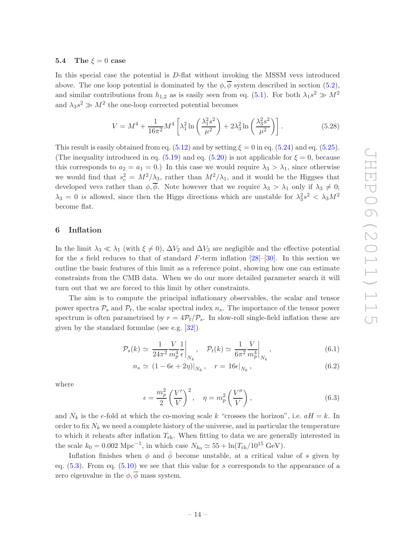#### <span id="page-15-0"></span>5.4 The  $\xi = 0$  case

In this special case the potential is  $D$ -flat without invoking the MSSM vevs introduced above. The one loop potential is dominated by the  $\phi$ ,  $\overline{\phi}$  system described in section [\(5.2\)](#page-12-0), and similar contributions from  $h_{1,2}$  as is easily seen from eq. [\(5.1\)](#page-8-1). For both  $\lambda_1 s^2 \gg M^2$ and  $\lambda_3 s^2 \gg M^2$  the one-loop corrected potential becomes

<span id="page-15-2"></span>
$$
V = M^4 + \frac{1}{16\pi^2} M^4 \left[ \lambda_1^2 \ln \left( \frac{\lambda_1^2 s^2}{\mu^2} \right) + 2\lambda_3^2 \ln \left( \frac{\lambda_3^2 s^2}{\mu^2} \right) \right].
$$
 (5.28)

This result is easily obtained from eq.  $(5.12)$  and by setting  $\xi = 0$  in eq.  $(5.24)$  and eq.  $(5.25)$ . (The inequality introduced in eq. [\(5.19\)](#page-13-3) and eq. [\(5.20\)](#page-13-2) is not applicable for  $\xi = 0$ , because this corresponds to  $a_2 = a_1 = 0$ .) In this case we would require  $\lambda_3 > \lambda_1$ , since otherwise we would find that  $s_c^2 = M^2/\lambda_3$ , rather than  $M^2/\lambda_1$ , and it would be the Higgses that developed vevs rather than  $\phi$ ,  $\overline{\phi}$ . Note however that we require  $\lambda_3 > \lambda_1$  only if  $\lambda_3 \neq 0$ ;  $\lambda_3 = 0$  is allowed, since then the Higgs directions which are unstable for  $\lambda_3^2 s^2 < \lambda_3 M^2$ become flat.

#### <span id="page-15-1"></span>6 Inflation

In the limit  $\lambda_3 \ll \lambda_1$  (with  $\xi \neq 0$ ),  $\Delta V_2$  and  $\Delta V_3$  are negligible and the effective potential for the s field reduces to that of standard F-term inflation  $[28]$ –[\[30](#page-28-8)]. In this section we outline the basic features of this limit as a reference point, showing how one can estimate constraints from the CMB data. When we do our more detailed parameter search it will turn out that we are forced to this limit by other constraints.

The aim is to compute the principal inflationary observables, the scalar and tensor power spectra  $P_s$  and  $P_t$ , the scalar spectral index  $n_s$ . The importance of the tensor power spectrum is often parametrised by  $r = 4\mathcal{P}_t/\mathcal{P}_s$ . In slow-roll single-field inflation these are given by the standard formulae (see e.g. [\[32\]](#page-28-10))

$$
\mathcal{P}_s(k) \simeq \left. \frac{1}{24\pi^2} \frac{V}{m_p^4} \frac{1}{\epsilon} \right|_{N_k}, \quad \mathcal{P}_t(k) \simeq \left. \frac{1}{6\pi^2} \frac{V}{m_p^4} \right|_{N_k}, \tag{6.1}
$$

$$
n_s \simeq (1 - 6\epsilon + 2\eta)|_{N_k}, \quad r = 16\epsilon|_{N_k}, \tag{6.2}
$$

where

$$
\epsilon = \frac{m_p^2}{2} \left(\frac{V'}{V}\right)^2, \quad \eta = m_p^2 \left(\frac{V''}{V}\right),\tag{6.3}
$$

and  $N_k$  is the e-fold at which the co-moving scale k "crosses the horizon", i.e.  $aH = k$ . In order to fix  $N_k$  we need a complete history of the universe, and in particular the temperature to which it reheats after inflation  $T_{\text{rh}}$ . When fitting to data we are generally interested in the scale  $k_0 = 0.002 \text{ Mpc}^{-1}$ , in which case  $N_{k_0} \simeq 55 + \ln(T_{\text{rh}}/10^{15} \text{ GeV})$ .

Inflation finishes when  $\phi$  and  $\bar{\phi}$  become unstable, at a critical value of s given by eq.  $(5.3)$ . From eq.  $(5.10)$  we see that this value for s corresponds to the appearance of a zero eigenvalue in the  $\phi$ ,  $\overline{\phi}$  mass system.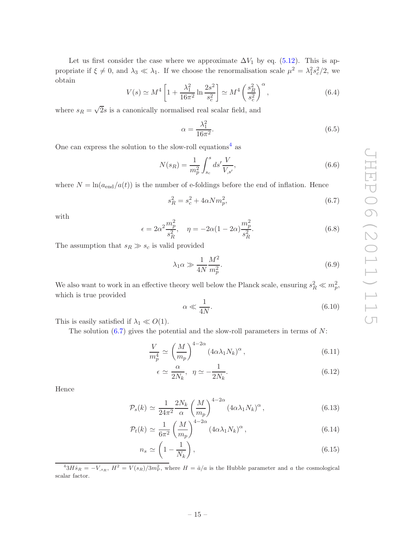Let us first consider the case where we approximate  $\Delta V_1$  by eq. [\(5.12\)](#page-12-3). This is appropriate if  $\xi \neq 0$ , and  $\lambda_3 \ll \lambda_1$ . If we choose the renormalisation scale  $\mu^2 = \lambda_1^2 s_c^2/2$ , we obtain

<span id="page-16-4"></span>
$$
V(s) \simeq M^4 \left[ 1 + \frac{\lambda_1^2}{16\pi^2} \ln \frac{2s^2}{s_c^2} \right] \simeq M^4 \left( \frac{s_R^2}{s_c^2} \right)^{\alpha},\tag{6.4}
$$

where  $s_R = \sqrt{2} s$  is a canonically normalised real scalar field, and

$$
\alpha = \frac{\lambda_1^2}{16\pi^2}.\tag{6.5}
$$

One can express the solution to the slow-roll equations<sup>[4](#page-16-0)</sup> as

$$
N(s_R) = \frac{1}{m_p^2} \int_{s_c}^s ds' \frac{V}{V_{,s'}},
$$
\n(6.6)

where  $N = \ln(a_{\text{end}}/a(t))$  is the number of e-foldings before the end of inflation. Hence

<span id="page-16-1"></span>
$$
s_R^2 = s_c^2 + 4\alpha N m_p^2,\tag{6.7}
$$

with

$$
\epsilon = 2\alpha^2 \frac{m_p^2}{s_R^2}, \quad \eta = -2\alpha (1 - 2\alpha) \frac{m_p^2}{s_R^2}.
$$
 (6.8)

The assumption that  $s_R \gg s_c$  is valid provided

<span id="page-16-2"></span>
$$
\lambda_1 \alpha \gg \frac{1}{4N} \frac{M^2}{m_p^2}.\tag{6.9}
$$

We also want to work in an effective theory well below the Planck scale, ensuring  $s_R^2 \ll m_p^2$ , which is true provided

<span id="page-16-3"></span>
$$
\alpha \ll \frac{1}{4N}.\tag{6.10}
$$

This is easily satisfied if  $\lambda_1 \ll O(1)$ .

The solution  $(6.7)$  gives the potential and the slow-roll parameters in terms of N:

$$
\frac{V}{m_p^4} \simeq \left(\frac{M}{m_p}\right)^{4-2\alpha} \left(4\alpha \lambda_1 N_k\right)^{\alpha},\tag{6.11}
$$

$$
\epsilon \simeq \frac{\alpha}{2N_k}, \ \ \eta \simeq -\frac{1}{2N_k}.\tag{6.12}
$$

Hence

$$
\mathcal{P}_s(k) \simeq \frac{1}{24\pi^2} \frac{2N_k}{\alpha} \left(\frac{M}{m_p}\right)^{4-2\alpha} \left(4\alpha \lambda_1 N_k\right)^{\alpha},\tag{6.13}
$$

$$
\mathcal{P}_t(k) \simeq \frac{1}{6\pi^2} \left(\frac{M}{m_p}\right)^{4-2\alpha} \left(4\alpha \lambda_1 N_k\right)^{\alpha},\tag{6.14}
$$

$$
n_s \simeq \left(1 - \frac{1}{N_k}\right),\tag{6.15}
$$

<span id="page-16-0"></span> $^{4}3H\dot{s}_R = -V_{,s_R}, H^2 = V(s_R)/3m_P^2$ , where  $H = \dot{a}/a$  is the Hubble parameter and a the cosmological scalar factor.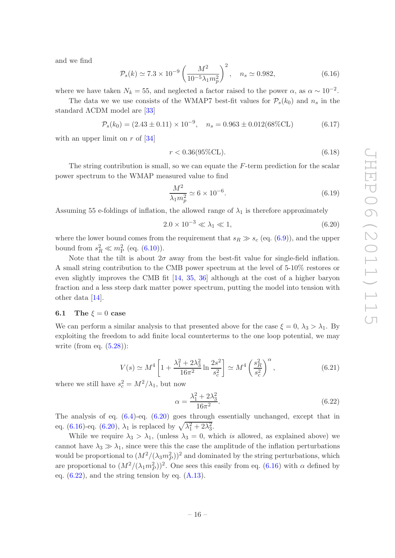and we find

<span id="page-17-2"></span>
$$
\mathcal{P}_s(k) \simeq 7.3 \times 10^{-9} \left(\frac{M^2}{10^{-5} \lambda_1 m_p^2}\right)^2, \quad n_s \simeq 0.982,\tag{6.16}
$$

where we have taken  $N_k = 55$ , and neglected a factor raised to the power  $\alpha$ , as  $\alpha \sim 10^{-2}$ .

The data we we use consists of the WMAP7 best-fit values for  $P_s(k_0)$  and  $n_s$  in the standard ΛCDM model are [\[33\]](#page-28-11)

<span id="page-17-5"></span>
$$
\mathcal{P}_s(k_0) = (2.43 \pm 0.11) \times 10^{-9}, \quad n_s = 0.963 \pm 0.012(68\% \text{CL}) \tag{6.17}
$$

with an upper limit on  $r$  of  $[34]$ 

$$
r < 0.36(95\% \text{CL}).\tag{6.18}
$$

The string contribution is small, so we can equate the  $F$ -term prediction for the scalar power spectrum to the WMAP measured value to find

<span id="page-17-4"></span>
$$
\frac{M^2}{\lambda_1 m_p^2} \simeq 6 \times 10^{-6}.\tag{6.19}
$$

Assuming 55 e-foldings of inflation, the allowed range of  $\lambda_1$  is therefore approximately

<span id="page-17-1"></span>
$$
2.0 \times 10^{-3} \ll \lambda_1 \ll 1,
$$
\n(6.20)

where the lower bound comes from the requirement that  $s_R \gg s_c$  (eq. [\(6.9\)](#page-16-2)), and the upper bound from  $s_R^2 \ll m_P^2$  (eq. [\(6.10\)](#page-16-3)).

Note that the tilt is about  $2\sigma$  away from the best-fit value for single-field inflation. A small string contribution to the CMB power spectrum at the level of 5-10% restores or even slightly improves the CMB fit [\[14](#page-27-7), [35,](#page-28-13) [36\]](#page-28-14) although at the cost of a higher baryon fraction and a less steep dark matter power spectrum, putting the model into tension with other data [\[14](#page-27-7)].

#### <span id="page-17-0"></span>6.1 The  $\xi = 0$  case

We can perform a similar analysis to that presented above for the case  $\xi = 0$ ,  $\lambda_3 > \lambda_1$ . By exploiting the freedom to add finite local counterterms to the one loop potential, we may write (from eq.  $(5.28)$ ):

$$
V(s) \simeq M^4 \left[ 1 + \frac{\lambda_1^2 + 2\lambda_3^2}{16\pi^2} \ln \frac{2s^2}{s_c^2} \right] \simeq M^4 \left( \frac{s_R^2}{s_c^2} \right)^{\alpha},\tag{6.21}
$$

where we still have  $s_c^2 = M^2/\lambda_1$ , but now

<span id="page-17-3"></span>
$$
\alpha = \frac{\lambda_1^2 + 2\lambda_3^2}{16\pi^2}.
$$
\n(6.22)

The analysis of eq.  $(6.4)$ -eq.  $(6.20)$  goes through essentially unchanged, except that in eq. [\(6.16\)](#page-17-2)-eq. [\(6.20\)](#page-17-1),  $\lambda_1$  is replaced by  $\sqrt{\lambda_1^2 + 2\lambda_3^2}$ .

While we require  $\lambda_3 > \lambda_1$ , (unless  $\lambda_3 = 0$ , which *is* allowed, as explained above) we cannot have  $\lambda_3 \gg \lambda_1$ , since were this the case the amplitude of the inflation perturbations would be proportional to  $(M^2/(\lambda_3 m_P^2))^2$  and dominated by the string perturbations, which are proportional to  $(M^2/(\lambda_1 m_P^2))^2$ . One sees this easily from eq. [\(6.16\)](#page-17-2) with  $\alpha$  defined by eq.  $(6.22)$ , and the string tension by eq.  $(A.13)$ .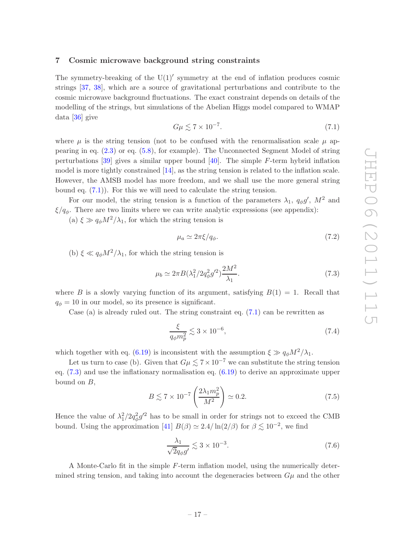#### <span id="page-18-0"></span>7 Cosmic microwave background string constraints

The symmetry-breaking of the  $U(1)'$  symmetry at the end of inflation produces cosmic strings [\[37](#page-28-15), [38](#page-29-0)], which are a source of gravitational perturbations and contribute to the cosmic microwave background fluctuations. The exact constraint depends on details of the modelling of the strings, but simulations of the Abelian Higgs model compared to WMAP data [\[36](#page-28-14)] give

<span id="page-18-1"></span>
$$
G\mu \lesssim 7 \times 10^{-7}.\tag{7.1}
$$

where  $\mu$  is the string tension (not to be confused with the renormalisation scale  $\mu$  appearing in eq. [\(2.3\)](#page-4-2) or eq. [\(5.8\)](#page-11-1), for example). The Unconnected Segment Model of string perturbations  $[39]$  gives a similar upper bound  $[40]$ . The simple F-term hybrid inflation model is more tightly constrained [\[14\]](#page-27-7), as the string tension is related to the inflation scale. However, the AMSB model has more freedom, and we shall use the more general string bound eq. [\(7.1\)](#page-18-1)). For this we will need to calculate the string tension.

For our model, the string tension is a function of the parameters  $\lambda_1$ ,  $q_{\phi}g'$ ,  $M^2$  and  $\xi/q_{\phi}$ . There are two limits where we can write analytic expressions (see appendix):

(a)  $\xi \gg q_\phi M^2/\lambda_1$ , for which the string tension is

$$
\mu_a \simeq 2\pi \xi / q_\phi. \tag{7.2}
$$

(b)  $\xi \ll q_\phi M^2/\lambda_1$ , for which the string tension is

<span id="page-18-2"></span>
$$
\mu_b \simeq 2\pi B(\lambda_1^2/2q_\phi^2 g'^2) \frac{2M^2}{\lambda_1}.\tag{7.3}
$$

where B is a slowly varying function of its argument, satisfying  $B(1) = 1$ . Recall that  $q_{\phi} = 10$  in our model, so its presence is significant.

Case (a) is already ruled out. The string constraint eq.  $(7.1)$  can be rewritten as

$$
\frac{\xi}{q_{\phi}m_p^2} \lesssim 3 \times 10^{-6},\tag{7.4}
$$

which together with eq. [\(6.19\)](#page-17-4) is inconsistent with the assumption  $\xi \gg q_{\phi} M^2/\lambda_1$ .

Let us turn to case (b). Given that  $G\mu \lesssim 7 \times 10^{-7}$  we can substitute the string tension eq. [\(7.3\)](#page-18-2) and use the inflationary normalisation eq. [\(6.19\)](#page-17-4) to derive an approximate upper bound on  $B$ ,

$$
B \lesssim 7 \times 10^{-7} \left(\frac{2\lambda_1 m_p^2}{M^2}\right) \simeq 0.2. \tag{7.5}
$$

Hence the value of  $\lambda_1^2/2q_\phi^2 g'^2$  has to be small in order for strings not to exceed the CMB bound. Using the approximation [\[41](#page-29-3)]  $B(\beta) \simeq 2.4/\ln(2/\beta)$  for  $\beta \lesssim 10^{-2}$ , we find

$$
\frac{\lambda_1}{\sqrt{2}q_{\phi}g'} \lesssim 3 \times 10^{-3}.\tag{7.6}
$$

A Monte-Carlo fit in the simple F-term inflation model, using the numerically determined string tension, and taking into account the degeneracies between  $G\mu$  and the other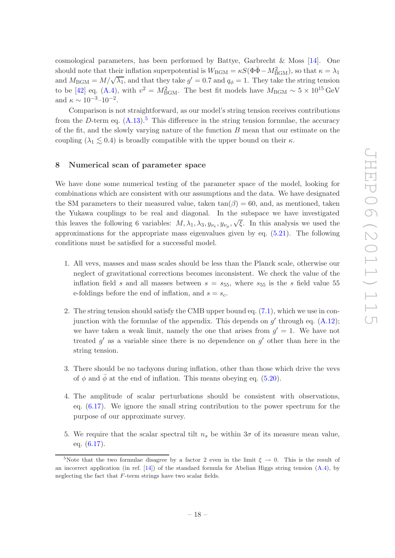cosmological parameters, has been performed by Battye, Garbrecht  $\&$  Moss [\[14](#page-27-7)]. One should note that their inflation superpotential is  $W_{\text{BGM}} = \kappa S(\Phi \bar{\Phi} - M_{\text{BGM}}^2)$ , so that  $\kappa = \lambda_1$ and  $M_{\text{BGM}} = M/\sqrt{\lambda_1}$ , and that they take  $g' = 0.7$  and  $q_{\phi} = 1$ . They take the string tension to be [\[42](#page-29-4)] eq. [\(A.4\)](#page-25-1), with  $v^2 = M_{\text{BGM}}^2$ . The best fit models have  $M_{\text{BGM}} \sim 5 \times 10^{15} \text{ GeV}$ and  $\kappa \sim 10^{-3}$ -10<sup>-2</sup>.

Comparison is not straightforward, as our model's string tension receives contributions from the D-term eq.  $(A.13)$ .<sup>[5](#page-19-1)</sup> This difference in the string tension formulae, the accuracy of the fit, and the slowly varying nature of the function  $B$  mean that our estimate on the coupling  $(\lambda_1 \lesssim 0.4)$  is broadly compatible with the upper bound on their  $\kappa$ .

#### <span id="page-19-0"></span>8 Numerical scan of parameter space

We have done some numerical testing of the parameter space of the model, looking for combinations which are consistent with our assumptions and the data. We have designated the SM parameters to their measured value, taken  $tan(\beta) = 60$ , and, as mentioned, taken the Yukawa couplings to be real and diagonal. In the subspace we have investigated this leaves the following 6 variables:  $M, \lambda_1, \lambda_3, y_{\nu_e}, y_{\nu_\mu}, \sqrt{\xi}$ . In this analysis we used the approximations for the appropriate mass eigenvalues given by eq. [\(5.21\)](#page-13-4). The following conditions must be satisfied for a successful model.

- 1. All vevs, masses and mass scales should be less than the Planck scale, otherwise our neglect of gravitational corrections becomes inconsistent. We check the value of the inflation field s and all masses between  $s = s_{55}$ , where  $s_{55}$  is the s field value 55 e-foldings before the end of inflation, and  $s = s_c$ .
- 2. The string tension should satisfy the CMB upper bound eq. [\(7.1\)](#page-18-1), which we use in conjunction with the formulae of the appendix. This depends on  $g'$  through eq.  $(A.12)$ ; we have taken a weak limit, namely the one that arises from  $g' = 1$ . We have not treated  $g'$  as a variable since there is no dependence on  $g'$  other than here in the string tension.
- 3. There should be no tachyons during inflation, other than those which drive the vevs of  $\phi$  and  $\bar{\phi}$  at the end of inflation. This means obeying eq. [\(5.20\)](#page-13-2).
- 4. The amplitude of scalar perturbations should be consistent with observations, eq. [\(6.17\)](#page-17-5). We ignore the small string contribution to the power spectrum for the purpose of our approximate survey.
- 5. We require that the scalar spectral tilt  $n_s$  be within  $3\sigma$  of its measure mean value, eq. [\(6.17\)](#page-17-5).

<span id="page-19-1"></span><sup>&</sup>lt;sup>5</sup>Note that the two formulae disagree by a factor 2 even in the limit  $\xi \to 0$ . This is the result of an incorrect application (in ref.  $[14]$ ) of the standard formula for Abelian Higgs string tension  $(A.4)$ , by neglecting the fact that  $F$ -term strings have two scalar fields.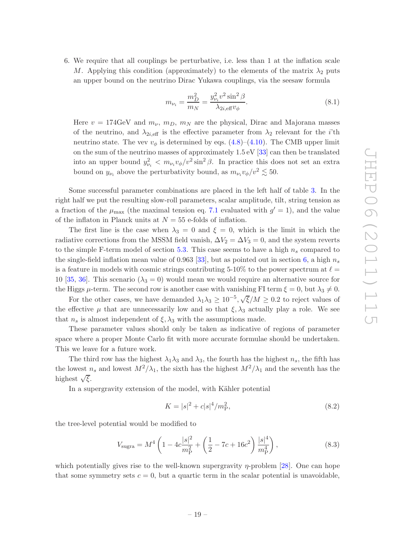6. We require that all couplings be perturbative, i.e. less than 1 at the inflation scale M. Applying this condition (approximately) to the elements of the matrix  $\lambda_2$  puts an upper bound on the neutrino Dirac Yukawa couplings, via the seesaw formula

$$
m_{\nu_i} = \frac{m_D^2}{m_N} = \frac{y_{\nu_i}^2 v^2 \sin^2 \beta}{\lambda_{2i, \text{eff}} v_\phi}.
$$
\n(8.1)

Here  $v = 174 \text{GeV}$  and  $m_{\nu}$ ,  $m_{D}$ ,  $m_{N}$  are the physical, Dirac and Majorana masses of the neutrino, and  $\lambda_{2i,\text{eff}}$  is the effective parameter from  $\lambda_2$  relevant for the *i*'th neutrino state. The vev  $v_{\phi}$  is determined by eqs. [\(4.8\)](#page-7-1)–[\(4.10\)](#page-7-1). The CMB upper limit on the sum of the neutrino masses of approximately  $1.5 \text{ eV}$  [\[33\]](#page-28-11) can then be translated into an upper bound  $y_{\nu_i}^2 < m_{\nu_i} v_{\phi}/v^2 \sin^2 \beta$ . In practice this does not set an extra bound on  $y_{\nu_i}$  above the perturbativity bound, as  $m_{\nu_i} v_{\phi}/v^2 \lesssim 50$ .

Some successful parameter combinations are placed in the left half of table [3.](#page-21-0) In the right half we put the resulting slow-roll parameters, scalar amplitude, tilt, string tension as a fraction of the  $\mu_{\text{max}}$  (the maximal tension eq. [7.1](#page-18-1) evaluated with  $g' = 1$ ), and the value of the inflaton in Planck units at  $N = 55$  e-folds of inflation.

The first line is the case when  $\lambda_3 = 0$  and  $\xi = 0$ , which is the limit in which the radiative corrections from the MSSM field vanish,  $\Delta V_2 = \Delta V_3 = 0$ , and the system reverts to the simple F-term model of section [5.3.](#page-12-1) This case seems to have a high  $n_s$  compared to the single-field inflation mean value of 0.963 [\[33](#page-28-11)], but as pointed out in section [6,](#page-15-1) a high  $n_s$ is a feature in models with cosmic strings contributing 5-10% to the power spectrum at  $\ell =$ 10 [\[35,](#page-28-13) [36](#page-28-14)]. This scenario ( $\lambda_3 = 0$ ) would mean we would require an alternative source for the Higgs  $\mu$ -term. The second row is another case with vanishing FI term  $\xi = 0$ , but  $\lambda_3 \neq 0$ .

For the other cases, we have demanded  $\lambda_1 \lambda_3 \geq 10^{-5}$ ,  $\sqrt{\xi}/M \geq 0.2$  to reject values of the effective  $\mu$  that are unnecessarily low and so that  $\xi, \lambda_3$  actually play a role. We see that  $n_s$  is almost independent of  $\xi, \lambda_3$  with the assumptions made.

These parameter values should only be taken as indicative of regions of parameter space where a proper Monte Carlo fit with more accurate formulae should be undertaken. This we leave for a future work.

The third row has the highest  $\lambda_1\lambda_3$  and  $\lambda_3$ , the fourth has the highest  $n_s$ , the fifth has the lowest  $n_s$  and lowest  $M^2/\lambda_1$ , the sixth has the highest  $M^2/\lambda_1$  and the seventh has the highest  $\sqrt{\xi}$ .

In a supergravity extension of the model, with Kähler potential

$$
K = |s|^2 + c|s|^4/m_P^2,
$$
\n(8.2)

the tree-level potential would be modified to

$$
V_{\text{sugra}} = M^4 \left( 1 - 4c \frac{|s|^2}{m_{\text{P}}^2} + \left( \frac{1}{2} - 7c + 16c^2 \right) \frac{|s|^4}{m_{\text{P}}^4} \right),\tag{8.3}
$$

which potentially gives rise to the well-known supergravity  $\eta$ -problem [\[28\]](#page-28-7). One can hope that some symmetry sets  $c = 0$ , but a quartic term in the scalar potential is unavoidable,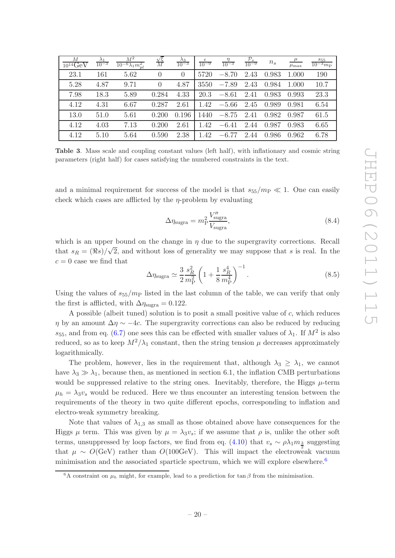| М<br>$10^{14}$ GeV | $\lambda_1$<br>$10^{-3}$ | $M^2$<br>$10^{-6}\lambda_1 m_{pl}^2$ | $\frac{\sqrt{\xi}}{M}$ | $\frac{\lambda_3}{10^{-3}}$ | $rac{\epsilon}{10^{-9}}$ | $\frac{\eta}{10^{-3}}$ | $\frac{\mathcal{P}_s}{10^{-9}}$ | $n_{s}$ | $\mu$<br>$\mu_{\max}$ | $\frac{s_{55}}{10^{-3}m_{\rm P}}$ |
|--------------------|--------------------------|--------------------------------------|------------------------|-----------------------------|--------------------------|------------------------|---------------------------------|---------|-----------------------|-----------------------------------|
| 23.1               | 161                      | 5.62                                 | $\Omega$               | $\theta$                    | 5720                     | $-8.70$                | 2.43                            | 0.983   | 1.000                 | 190                               |
| 5.28               | 4.87                     | 9.71                                 | $\Omega$               | 4.87                        | 3550                     | $-7.89$                | 2.43                            | 0.984   | 1.000                 | 10.7                              |
| 7.98               | 18.3                     | 5.89                                 | 0.284                  | 4.33                        | 20.3                     | $-8.61$                | 2.41                            | 0.983   | 0.993                 | 23.3                              |
| 4.12               | 4.31                     | 6.67                                 | 0.287                  | 2.61                        | 1.42                     | $-5.66$                | 2.45                            | 0.989   | 0.981                 | 6.54                              |
| 13.0               | 51.0                     | 5.61                                 | 0.200                  | 0.196                       | 1440                     | $-8.75$                | 2.41                            | 0.982   | 0.987                 | 61.5                              |
| 4.12               | 4.03                     | 7.13                                 | 0.200                  | 2.61                        | 1.42                     | $-6.41$                | 2.44                            | 0.987   | 0.983                 | 6.65                              |
| 4.12               | 5.10                     | 5.64                                 | 0.590                  | 2.38                        | 1.42                     | $-6.77$                | 2.44                            | 0.986   | 0.962                 | 6.78                              |

<span id="page-21-0"></span>Table 3. Mass scale and coupling constant values (left half), with inflationary and cosmic string parameters (right half) for cases satisfying the numbered constraints in the text.

and a minimal requirement for success of the model is that  $s_{55}/m_P \ll 1$ . One can easily check which cases are afflicted by the  $\eta$ -problem by evaluating

$$
\Delta \eta_{\text{sugra}} = m_P^2 \frac{V_{\text{sugra}}''}{V_{\text{sugra}}},\tag{8.4}
$$

which is an upper bound on the change in  $\eta$  due to the supergravity corrections. Recall that  $s_R = (\Re s)/\sqrt{2}$ , and without loss of generality we may suppose that s is real. In the  $c = 0$  case we find that

$$
\Delta \eta_{\text{sugra}} \simeq \frac{3}{2} \frac{s_R^2}{m_P^2} \left( 1 + \frac{1}{8} \frac{s_R^4}{m_P^4} \right)^{-1} . \tag{8.5}
$$

Using the values of  $s_{55}/m_{\rm P}$  listed in the last column of the table, we can verify that only the first is afflicted, with  $\Delta \eta_{\text{sugra}} = 0.122$ .

A possible (albeit tuned) solution is to posit a small positive value of  $c$ , which reduces  $η$  by an amount  $Δη \sim -4c$ . The supergravity corrections can also be reduced by reducing  $s_{55}$ , and from eq. [\(6.7\)](#page-16-1) one sees this can be effected with smaller values of  $\lambda_1$ . If  $M^2$  is also reduced, so as to keep  $M^2/\lambda_1$  constant, then the string tension  $\mu$  decreases approximately logarithmically.

The problem, however, lies in the requirement that, although  $\lambda_3 \geq \lambda_1$ , we cannot have  $\lambda_3 \gg \lambda_1$ , because then, as mentioned in section 6.1, the inflation CMB perturbations would be suppressed relative to the string ones. Inevitably, therefore, the Higgs  $\mu$ -term  $\mu_h = \lambda_3 v_s$  would be reduced. Here we thus encounter an interesting tension between the requirements of the theory in two quite different epochs, corresponding to inflation and electro-weak symmetry breaking.

Note that values of  $\lambda_{1,3}$  as small as those obtained above have consequences for the Higgs  $\mu$  term. This was given by  $\mu = \lambda_3 v_s$ ; if we assume that  $\rho$  is, unlike the other soft terms, unsuppressed by loop factors, we find from eq.  $(4.10)$  that  $v_s \sim \rho \lambda_1 m_{\frac{3}{2}}$  suggesting that  $\mu \sim O(\text{GeV})$  rather than  $O(100 \text{GeV})$ . This will impact the electroweak vacuum minimisation and the associated sparticle spectrum, which we will explore elsewhere.<sup>[6](#page-21-1)</sup>

<span id="page-21-1"></span><sup>&</sup>lt;sup>6</sup>A constraint on  $\mu_h$  might, for example, lead to a prediction for tan β from the minimisation.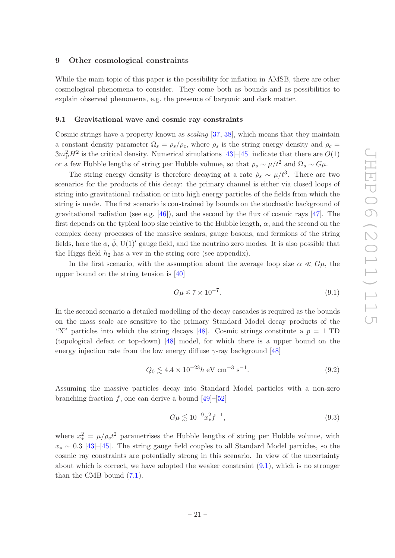#### <span id="page-22-0"></span>9 Other cosmological constraints

While the main topic of this paper is the possibility for inflation in AMSB, there are other cosmological phenomena to consider. They come both as bounds and as possibilities to explain observed phenomena, e.g. the presence of baryonic and dark matter.

#### <span id="page-22-1"></span>9.1 Gravitational wave and cosmic ray constraints

Cosmic strings have a property known as *scaling* [\[37](#page-28-15), [38\]](#page-29-0), which means that they maintain a constant density parameter  $\Omega_s = \rho_s/\rho_c$ , where  $\rho_s$  is the string energy density and  $\rho_c =$  $3m_{\rm P}^2H^2$  is the critical density. Numerical simulations [\[43](#page-29-5)]–[\[45\]](#page-29-6) indicate that there are  $O(1)$ or a few Hubble lengths of string per Hubble volume, so that  $\rho_s \sim \mu/t^2$  and  $\Omega_s \sim G\mu$ .

The string energy density is therefore decaying at a rate  $\dot{\rho}_s \sim \mu/t^3$ . There are two scenarios for the products of this decay: the primary channel is either via closed loops of string into gravitational radiation or into high energy particles of the fields from which the string is made. The first scenario is constrained by bounds on the stochastic background of gravitational radiation (see e.g.  $[46]$ ), and the second by the flux of cosmic rays  $[47]$ . The first depends on the typical loop size relative to the Hubble length,  $\alpha$ , and the second on the complex decay processes of the massive scalars, gauge bosons, and fermions of the string fields, here the  $\phi$ ,  $\bar{\phi}$ , U(1)' gauge field, and the neutrino zero modes. It is also possible that the Higgs field  $h_2$  has a vev in the string core (see appendix).

In the first scenario, with the assumption about the average loop size  $\alpha \ll G\mu$ , the upper bound on the string tension is [\[40\]](#page-29-2)

<span id="page-22-2"></span>
$$
G\mu \le 7 \times 10^{-7}.\tag{9.1}
$$

In the second scenario a detailed modelling of the decay cascades is required as the bounds on the mass scale are sensitive to the primary Standard Model decay products of the "X" particles into which the string decays [\[48](#page-29-9)]. Cosmic strings constitute a  $p = 1$  TD (topological defect or top-down) [\[48](#page-29-9)] model, for which there is a upper bound on the energy injection rate from the low energy diffuse  $\gamma$ -ray background [\[48](#page-29-9)]

$$
Q_0 \lesssim 4.4 \times 10^{-23} h \text{ eV cm}^{-3} \text{ s}^{-1}.
$$
 (9.2)

Assuming the massive particles decay into Standard Model particles with a non-zero branching fraction  $f$ , one can derive a bound  $[49]$ – $[52]$ 

$$
G\mu \lesssim 10^{-9}x_*^2 f^{-1},\tag{9.3}
$$

where  $x_*^2 = \mu/\rho_s t^2$  parametrises the Hubble lengths of string per Hubble volume, with  $x_* \sim 0.3$  [\[43](#page-29-5)]–[\[45](#page-29-6)]. The string gauge field couples to all Standard Model particles, so the cosmic ray constraints are potentially strong in this scenario. In view of the uncertainty about which is correct, we have adopted the weaker constraint [\(9.1\)](#page-22-2), which is no stronger than the CMB bound [\(7.1\)](#page-18-1).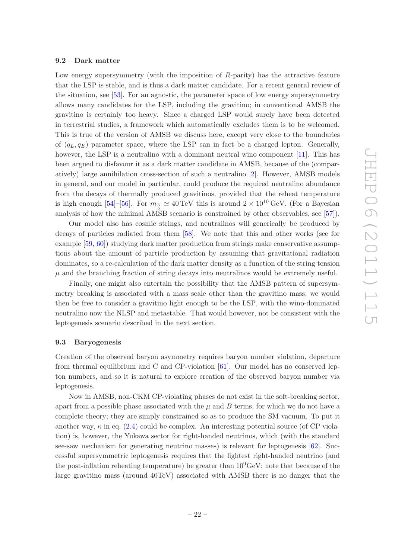#### <span id="page-23-0"></span>9.2 Dark matter

Low energy supersymmetry (with the imposition of  $R$ -parity) has the attractive feature that the LSP is stable, and is thus a dark matter candidate. For a recent general review of the situation, see [\[53\]](#page-29-12). For an agnostic, the parameter space of low energy supersymmetry allows many candidates for the LSP, including the gravitino; in conventional AMSB the gravitino is certainly too heavy. Since a charged LSP would surely have been detected in terrestrial studies, a framework which automatically excludes them is to be welcomed. This is true of the version of AMSB we discuss here, except very close to the boundaries of  $(q_L, q_F)$  parameter space, where the LSP can in fact be a charged lepton. Generally, however, the LSP is a neutralino with a dominant neutral wino component [\[11](#page-27-5)]. This has been argued to disfavour it as a dark matter candidate in AMSB, because of the (comparatively) large annihilation cross-section of such a neutralino [\[2](#page-27-11)]. However, AMSB models in general, and our model in particular, could produce the required neutralino abundance from the decays of thermally produced gravitinos, provided that the reheat temperature is high enough [\[54](#page-29-13)]–[\[56\]](#page-30-0). For  $m_{\frac{3}{2}} \simeq 40 \,\text{TeV}$  this is around  $2 \times 10^{10} \,\text{GeV}$ . (For a Bayesian analysis of how the minimal AMSB scenario is constrained by other observables, see [\[57](#page-30-1)]).

Our model also has cosmic strings, and neutralinos will generically be produced by decays of particles radiated from them [\[58](#page-30-2)]. We note that this and other works (see for example [\[59](#page-30-3), [60](#page-30-4)]) studying dark matter production from strings make conservative assumptions about the amount of particle production by assuming that gravitational radiation dominates, so a re-calculation of the dark matter density as a function of the string tension  $\mu$  and the branching fraction of string decays into neutralinos would be extremely useful.

Finally, one might also entertain the possibility that the AMSB pattern of supersymmetry breaking is associated with a mass scale other than the gravitino mass; we would then be free to consider a gravitino light enough to be the LSP, with the wino-dominated neutralino now the NLSP and metastable. That would however, not be consistent with the leptogenesis scenario described in the next section.

#### <span id="page-23-1"></span>9.3 Baryogenesis

Creation of the observed baryon asymmetry requires baryon number violation, departure from thermal equilibrium and C and CP-violation [\[61\]](#page-30-5). Our model has no conserved lepton numbers, and so it is natural to explore creation of the observed baryon number via leptogenesis.

Now in AMSB, non-CKM CP-violating phases do not exist in the soft-breaking sector, apart from a possible phase associated with the  $\mu$  and  $B$  terms, for which we do not have a complete theory; they are simply constrained so as to produce the SM vacuum. To put it another way,  $\kappa$  in eq. [\(2.4\)](#page-4-2) could be complex. An interesting potential source (of CP violation) is, however, the Yukawa sector for right-handed neutrinos, which (with the standard see-saw mechanism for generating neutrino masses) is relevant for leptogenesis [\[62](#page-30-6)]. Successful supersymmetric leptogenesis requires that the lightest right-handed neutrino (and the post-inflation reheating temperature) be greater than  $10^9$ GeV; note that because of the large gravitino mass (around 40TeV) associated with AMSB there is no danger that the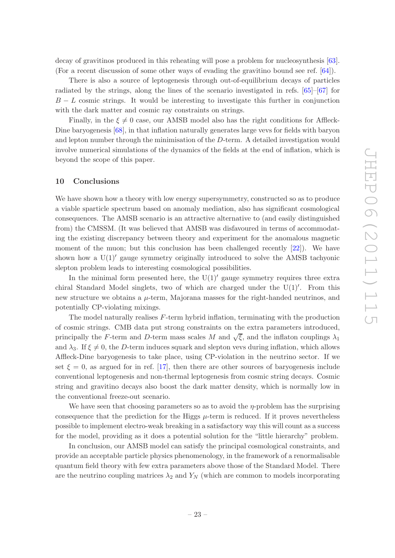decay of gravitinos produced in this reheating will pose a problem for nucleosynthesis [\[63\]](#page-30-7). (For a recent discussion of some other ways of evading the gravitino bound see ref. [\[64\]](#page-30-8)).

There is also a source of leptogenesis through out-of-equilibrium decays of particles radiated by the strings, along the lines of the scenario investigated in refs. [\[65\]](#page-30-9)–[\[67](#page-30-10)] for  $B - L$  cosmic strings. It would be interesting to investigate this further in conjunction with the dark matter and cosmic ray constraints on strings.

Finally, in the  $\xi \neq 0$  case, our AMSB model also has the right conditions for Affleck-Dine baryogenesis [\[68](#page-30-11)], in that inflation naturally generates large vevs for fields with baryon and lepton number through the minimisation of the D-term. A detailed investigation would involve numerical simulations of the dynamics of the fields at the end of inflation, which is beyond the scope of this paper.

#### <span id="page-24-0"></span>10 Conclusions

We have shown how a theory with low energy supersymmetry, constructed so as to produce a viable sparticle spectrum based on anomaly mediation, also has significant cosmological consequences. The AMSB scenario is an attractive alternative to (and easily distinguished from) the CMSSM. (It was believed that AMSB was disfavoured in terms of accommodating the existing discrepancy between theory and experiment for the anomalous magnetic moment of the muon; but this conclusion has been challenged recently [\[22](#page-28-2)]). We have shown how a  $U(1)$ <sup>'</sup> gauge symmetry originally introduced to solve the AMSB tachyonic slepton problem leads to interesting cosmological possibilities.

In the minimal form presented here, the  $U(1)'$  gauge symmetry requires three extra chiral Standard Model singlets, two of which are charged under the U(1)′ . From this new structure we obtains a  $\mu$ -term, Majorana masses for the right-handed neutrinos, and potentially CP-violating mixings.

The model naturally realises F-term hybrid inflation, terminating with the production of cosmic strings. CMB data put strong constraints on the extra parameters introduced, principally the F-term and D-term mass scales M and  $\sqrt{\xi}$ , and the inflaton couplings  $\lambda_1$ and  $\lambda_3$ . If  $\xi \neq 0$ , the D-term induces squark and slepton vevs during inflation, which allows Affleck-Dine baryogenesis to take place, using CP-violation in the neutrino sector. If we set  $\xi = 0$ , as argued for in ref. [\[17](#page-27-10)], then there are other sources of baryogenesis include conventional leptogenesis and non-thermal leptogenesis from cosmic string decays. Cosmic string and gravitino decays also boost the dark matter density, which is normally low in the conventional freeze-out scenario.

We have seen that choosing parameters so as to avoid the  $\eta$ -problem has the surprising consequence that the prediction for the Higgs  $\mu$ -term is reduced. If it proves nevertheless possible to implement electro-weak breaking in a satisfactory way this will count as a success for the model, providing as it does a potential solution for the "little hierarchy" problem.

In conclusion, our AMSB model can satisfy the principal cosmological constraints, and provide an acceptable particle physics phenomenology, in the framework of a renormalisable quantum field theory with few extra parameters above those of the Standard Model. There are the neutrino coupling matrices  $\lambda_2$  and  $Y_N$  (which are common to models incorporating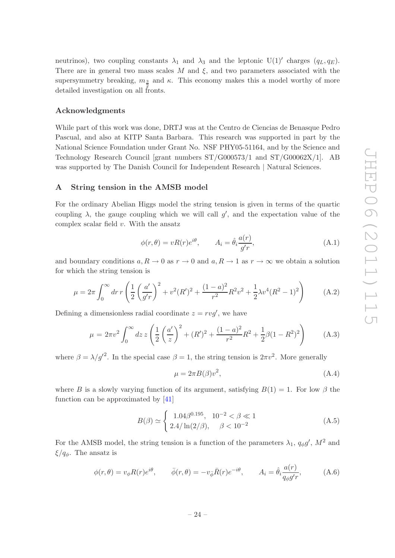neutrinos), two coupling constants  $\lambda_1$  and  $\lambda_3$  and the leptonic U(1)' charges  $(q_L, q_E)$ . There are in general two mass scales  $M$  and  $\xi$ , and two parameters associated with the supersymmetry breaking,  $m_3$  and  $\kappa$ . This economy makes this a model worthy of more detailed investigation on all fronts.

#### Acknowledgments

While part of this work was done, DRTJ was at the Centro de Ciencias de Benasque Pedro Pascual, and also at KITP Santa Barbara. This research was supported in part by the National Science Foundation under Grant No. NSF PHY05-51164, and by the Science and Technology Research Council [grant numbers ST/G000573/1 and ST/G00062X/1]. AB was supported by The Danish Council for Independent Research | Natural Sciences.

#### <span id="page-25-0"></span>A String tension in the AMSB model

For the ordinary Abelian Higgs model the string tension is given in terms of the quartic coupling  $\lambda$ , the gauge coupling which we will call g', and the expectation value of the complex scalar field  $v$ . With the ansatz

$$
\phi(r,\theta) = vR(r)e^{i\theta}, \qquad A_i = \hat{\theta}_i \frac{a(r)}{g'r}, \qquad (A.1)
$$

and boundary conditions  $a, R \to 0$  as  $r \to 0$  and  $a, R \to 1$  as  $r \to \infty$  we obtain a solution for which the string tension is

$$
\mu = 2\pi \int_0^\infty dr \, r \left( \frac{1}{2} \left( \frac{a'}{g'r} \right)^2 + v^2 (R')^2 + \frac{(1-a)^2}{r^2} R^2 v^2 + \frac{1}{2} \lambda v^4 (R^2 - 1)^2 \right) \tag{A.2}
$$

Defining a dimensionless radial coordinate  $z = ry'$ , we have

$$
\mu = 2\pi v^2 \int_0^\infty dz \, z \left( \frac{1}{2} \left( \frac{a'}{z} \right)^2 + (R')^2 + \frac{(1-a)^2}{r^2} R^2 + \frac{1}{2} \beta (1 - R^2)^2 \right) \tag{A.3}
$$

where  $\beta = \lambda/g'^2$ . In the special case  $\beta = 1$ , the string tension is  $2\pi v^2$ . More generally

<span id="page-25-1"></span>
$$
\mu = 2\pi B(\beta)v^2,\tag{A.4}
$$

where B is a slowly varying function of its argument, satisfying  $B(1) = 1$ . For low  $\beta$  the function can be approximated by [\[41](#page-29-3)]

$$
B(\beta) \simeq \begin{cases} 1.04\beta^{0.195}, & 10^{-2} < \beta \ll 1 \\ 2.4/\ln(2/\beta), & \beta < 10^{-2} \end{cases}
$$
 (A.5)

For the AMSB model, the string tension is a function of the parameters  $\lambda_1$ ,  $q_{\phi}g'$ ,  $M^2$  and  $\xi/q_{\phi}$ . The ansatz is

$$
\phi(r,\theta) = v_{\phi}R(r)e^{i\theta}, \qquad \bar{\phi}(r,\theta) = -v_{\bar{\phi}}\bar{R}(r)e^{-i\theta}, \qquad A_i = \hat{\theta}_i \frac{a(r)}{q_{\phi}g'r}, \qquad (A.6)
$$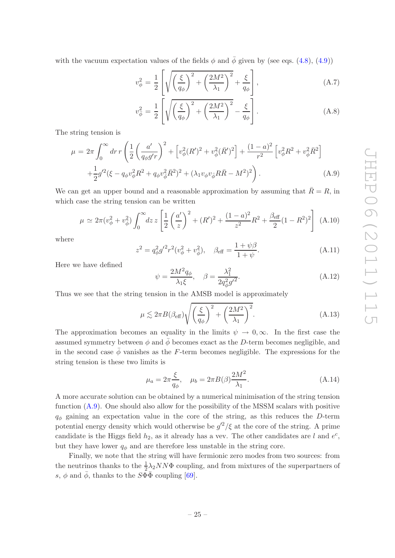with the vacuum expectation values of the fields  $\phi$  and  $\bar{\phi}$  given by (see eqs. [\(4.8\)](#page-7-1), [\(4.9\)](#page-7-1))

$$
v_{\phi}^{2} = \frac{1}{2} \left[ \sqrt{\left(\frac{\xi}{q_{\phi}}\right)^{2} + \left(\frac{2M^{2}}{\lambda_{1}}\right)^{2}} + \frac{\xi}{q_{\phi}} \right],
$$
\n(A.7)

$$
v_{\bar{\phi}}^2 = \frac{1}{2} \left[ \sqrt{\left(\frac{\xi}{q_{\phi}}\right)^2 + \left(\frac{2M^2}{\lambda_1}\right)^2} - \frac{\xi}{q_{\phi}} \right]. \tag{A.8}
$$

The string tension is

<span id="page-26-2"></span>
$$
\mu = 2\pi \int_0^\infty dr \, r \left( \frac{1}{2} \left( \frac{a'}{q_\phi g' r} \right)^2 + \left[ v_\phi^2 (R')^2 + v_\phi^2 (\bar{R}')^2 \right] + \frac{(1-a)^2}{r^2} \left[ v_\phi^2 R^2 + v_\phi^2 \bar{R}^2 \right] + \frac{1}{2} g'^2 (\xi - q_\phi v_\phi^2 R^2 + q_\phi v_\phi^2 \bar{R}^2)^2 + (\lambda_1 v_\phi v_\phi R \bar{R} - M^2)^2 \right). \tag{A.9}
$$

We can get an upper bound and a reasonable approximation by assuming that  $\overline{R} = R$ , in which case the string tension can be written

$$
\mu \simeq 2\pi (v_{\phi}^2 + v_{\bar{\phi}}^2) \int_0^{\infty} dz \, z \left[ \frac{1}{2} \left( \frac{a'}{z} \right)^2 + (R')^2 + \frac{(1-a)^2}{z^2} R^2 + \frac{\beta_{\text{eff}}}{2} (1 - R^2)^2 \right] \tag{A.10}
$$

where

$$
z^{2} = q_{\phi}^{2} g^{\prime 2} r^{2} (v_{\phi}^{2} + v_{\phi}^{2}), \quad \beta_{\text{eff}} = \frac{1 + \psi \beta}{1 + \psi}.
$$
 (A.11)

Here we have defined

<span id="page-26-1"></span>
$$
\psi = \frac{2M^2 q_{\phi}}{\lambda_1 \xi}, \quad \beta = \frac{\lambda_1^2}{2q_{\phi}^2 g'^2}.
$$
\n(A.12)

Thus we see that the string tension in the AMSB model is approximately

<span id="page-26-0"></span>
$$
\mu \lesssim 2\pi B(\beta_{\text{eff}})\sqrt{\left(\frac{\xi}{q_{\phi}}\right)^{2} + \left(\frac{2M^{2}}{\lambda_{1}}\right)^{2}}.
$$
\n(A.13)

The approximation becomes an equality in the limits  $\psi \to 0$ ,  $\infty$ . In the first case the assumed symmetry between  $\phi$  and  $\bar{\phi}$  becomes exact as the D-term becomes negligible, and in the second case  $\bar{\phi}$  vanishes as the F-term becomes negligible. The expressions for the string tension is these two limits is

$$
\mu_a = 2\pi \frac{\xi}{q_\phi}, \quad \mu_b = 2\pi B(\beta) \frac{2M^2}{\lambda_1}.
$$
\n(A.14)

A more accurate solution can be obtained by a numerical minimisation of the string tension function [\(A.9\)](#page-26-2). One should also allow for the possibility of the MSSM scalars with positive  $q_{\phi}$  gaining an expectation value in the core of the string, as this reduces the D-term potential energy density which would otherwise be  $g'^2/\xi$  at the core of the string. A prime candidate is the Higgs field  $h_2$ , as it already has a vev. The other candidates are l and  $e^c$ , but they have lower  $q_{\phi}$  and are therefore less unstable in the string core.

Finally, we note that the string will have fermionic zero modes from two sources: from the neutrinos thanks to the  $\frac{1}{2}\lambda_2 NN\Phi$  coupling, and from mixtures of the superpartners of s,  $\phi$  and  $\bar{\phi}$ , thanks to the  $S\Phi\bar{\Phi}$  coupling [[69](#page-30-12)].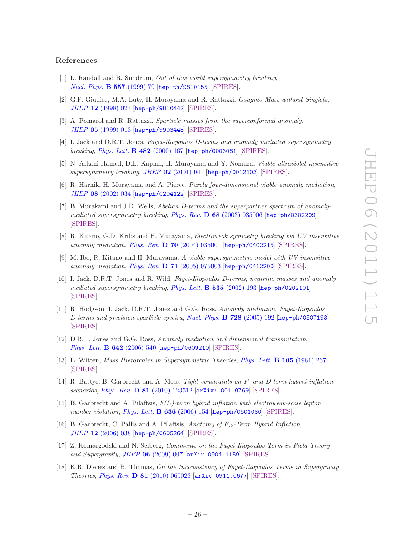#### References

- <span id="page-27-0"></span>[1] L. Randall and R. Sundrum, *Out of this world supersymmetry breaking*, *[Nucl. Phys.](http://dx.doi.org/10.1016/S0550-3213(99)00359-4)* B 557 (1999) 79 [[hep-th/9810155](http://arxiv.org/abs/hep-th/9810155)] [\[SPIRES\]](http://www-spires.slac.stanford.edu/spires/find/hep/www?eprint=HEP-TH/9810155).
- <span id="page-27-11"></span>[2] G.F. Giudice, M.A. Luty, H. Murayama and R. Rattazzi, *Gaugino Mass without Singlets*, *JHEP* 12 [\(1998\) 027](http://dx.doi.org/10.1088/1126-6708/1998/12/027) [[hep-ph/9810442](http://arxiv.org/abs/hep-ph/9810442)] [\[SPIRES\]](http://www-spires.slac.stanford.edu/spires/find/hep/www?eprint=HEP-PH/9810442).
- <span id="page-27-1"></span>[3] A. Pomarol and R. Rattazzi, *Sparticle masses from the superconformal anomaly*, *JHEP* 05 [\(1999\) 013](http://dx.doi.org/10.1088/1126-6708/1999/05/013) [[hep-ph/9903448](http://arxiv.org/abs/hep-ph/9903448)] [\[SPIRES\]](http://www-spires.slac.stanford.edu/spires/find/hep/www?eprint=HEP-PH/9903448).
- <span id="page-27-2"></span>[4] I. Jack and D.R.T. Jones, *Fayet-Iliopoulos D-terms and anomaly mediated supersymmetry breaking*, *[Phys. Lett.](http://dx.doi.org/10.1016/S0370-2693(00)00501-3)* B 482 (2000) 167 [[hep-ph/0003081](http://arxiv.org/abs/hep-ph/0003081)] [\[SPIRES\]](http://www-spires.slac.stanford.edu/spires/find/hep/www?eprint=HEP-PH/0003081).
- <span id="page-27-3"></span>[5] N. Arkani-Hamed, D.E. Kaplan, H. Murayama and Y. Nomura, *Viable ultraviolet-insensitive supersymmetry breaking*, *JHEP* 02 [\(2001\) 041](http://dx.doi.org/10.1088/1126-6708/2001/02/041) [[hep-ph/0012103](http://arxiv.org/abs/hep-ph/0012103)] [\[SPIRES\]](http://www-spires.slac.stanford.edu/spires/find/hep/www?eprint=HEP-PH/0012103).
- [6] R. Harnik, H. Murayama and A. Pierce, *Purely four-dimensional viable anomaly mediation*, *JHEP* 08 [\(2002\) 034](http://dx.doi.org/10.1088/1126-6708/2002/08/034) [[hep-ph/0204122](http://arxiv.org/abs/hep-ph/0204122)] [\[SPIRES\]](http://www-spires.slac.stanford.edu/spires/find/hep/www?eprint=HEP-PH/0204122).
- [7] B. Murakami and J.D. Wells, *Abelian D-terms and the superpartner spectrum of anomalymediated supersymmetry breaking*, *Phys. Rev.* D 68 [\(2003\) 035006](http://dx.doi.org/10.1103/PhysRevD.68.035006) [[hep-ph/0302209](http://arxiv.org/abs/hep-ph/0302209)] [\[SPIRES\]](http://www-spires.slac.stanford.edu/spires/find/hep/www?eprint=HEP-PH/0302209).
- [8] R. Kitano, G.D. Kribs and H. Murayama, *Electroweak symmetry breaking via UV insensitive anomaly mediation*, *Phys. Rev.* D 70 [\(2004\) 035001](http://dx.doi.org/10.1103/PhysRevD.70.035001) [[hep-ph/0402215](http://arxiv.org/abs/hep-ph/0402215)] [\[SPIRES\]](http://www-spires.slac.stanford.edu/spires/find/hep/www?eprint=HEP-PH/0402215).
- [9] M. Ibe, R. Kitano and H. Murayama, *A viable supersymmetric model with UV insensitive anomaly mediation*, *Phys. Rev.* D 71 [\(2005\) 075003](http://dx.doi.org/10.1103/PhysRevD.71.075003) [[hep-ph/0412200](http://arxiv.org/abs/hep-ph/0412200)] [\[SPIRES\]](http://www-spires.slac.stanford.edu/spires/find/hep/www?eprint=HEP-PH/0412200).
- [10] I. Jack, D.R.T. Jones and R. Wild, *Fayet-Iliopoulos D-terms, neutrino masses and anomaly mediated supersymmetry breaking*, *[Phys. Lett.](http://dx.doi.org/10.1016/S0370-2693(02)01775-6)* B 535 (2002) 193 [[hep-ph/0202101](http://arxiv.org/abs/hep-ph/0202101)] [\[SPIRES\]](http://www-spires.slac.stanford.edu/spires/find/hep/www?eprint=HEP-PH/0202101).
- <span id="page-27-5"></span>[11] R. Hodgson, I. Jack, D.R.T. Jones and G.G. Ross, *Anomaly mediation, Fayet-Iliopoulos D-terms and precision sparticle spectra*, *[Nucl. Phys.](http://dx.doi.org/10.1016/j.nuclphysb.2005.09.013)* B 728 (2005) 192 [[hep-ph/0507193](http://arxiv.org/abs/hep-ph/0507193)] [\[SPIRES\]](http://www-spires.slac.stanford.edu/spires/find/hep/www?eprint=HEP-PH/0507193).
- <span id="page-27-4"></span>[12] D.R.T. Jones and G.G. Ross, *Anomaly mediation and dimensional transmutation*, *[Phys. Lett.](http://dx.doi.org/10.1016/j.physletb.2006.10.010)* B 642 (2006) 540 [[hep-ph/0609210](http://arxiv.org/abs/hep-ph/0609210)] [\[SPIRES\]](http://www-spires.slac.stanford.edu/spires/find/hep/www?eprint=HEP-PH/0609210).
- <span id="page-27-6"></span>[13] E. Witten, *Mass Hierarchies in Supersymmetric Theories*, *[Phys. Lett.](http://dx.doi.org/10.1016/0370-2693(81)90885-6)* B 105 (1981) 267 [\[SPIRES\]](http://www-spires.slac.stanford.edu/spires/find/hep/www?j=PHLTA,B105,267).
- <span id="page-27-7"></span>[14] R. Battye, B. Garbrecht and A. Moss, *Tight constraints on F- and D-term hybrid inflation scenarios*, *Phys. Rev.* D 81 [\(2010\) 123512](http://dx.doi.org/10.1103/PhysRevD.81.123512) [[arXiv:1001.0769](http://arxiv.org/abs/1001.0769)] [\[SPIRES\]](http://www-spires.slac.stanford.edu/spires/find/hep/www?eprint=1001.0769).
- <span id="page-27-8"></span>[15] B. Garbrecht and A. Pilaftsis, *F(D)-term hybrid inflation with electroweak-scale lepton number violation*, *[Phys. Lett.](http://dx.doi.org/10.1016/j.physletb.2006.03.059)* B 636 (2006) 154 [[hep-ph/0601080](http://arxiv.org/abs/hep-ph/0601080)] [\[SPIRES\]](http://www-spires.slac.stanford.edu/spires/find/hep/www?eprint=HEP-PH/0601080).
- <span id="page-27-9"></span>[16] B. Garbrecht, C. Pallis and A. Pilaftsis, *Anatomy of F<sub>D</sub>-Term Hybrid Inflation*, *JHEP* 12 [\(2006\) 038](http://dx.doi.org/10.1088/1126-6708/2006/12/038) [[hep-ph/0605264](http://arxiv.org/abs/hep-ph/0605264)] [\[SPIRES\]](http://www-spires.slac.stanford.edu/spires/find/hep/www?eprint=HEP-PH/0605264).
- <span id="page-27-10"></span>[17] Z. Komargodski and N. Seiberg, *Comments on the Fayet-Iliopoulos Term in Field Theory and Supergravity*, *JHEP* 06 [\(2009\) 007](http://dx.doi.org/10.1088/1126-6708/2009/06/007) [[arXiv:0904.1159](http://arxiv.org/abs/0904.1159)] [\[SPIRES\]](http://www-spires.slac.stanford.edu/spires/find/hep/www?eprint=0904.1159).
- [18] K.R. Dienes and B. Thomas, *On the Inconsistency of Fayet-Iliopoulos Terms in Supergravity Theories*, *Phys. Rev.* D 81 [\(2010\) 065023](http://dx.doi.org/10.1103/PhysRevD.81.065023) [[arXiv:0911.0677](http://arxiv.org/abs/0911.0677)] [\[SPIRES\]](http://www-spires.slac.stanford.edu/spires/find/hep/www?eprint=0911.0677).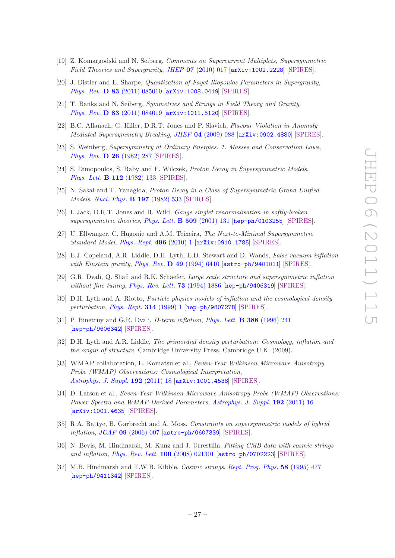- [19] Z. Komargodski and N. Seiberg, *Comments on Supercurrent Multiplets, Supersymmetric Field Theories and Supergravity*, *JHEP* 07 [\(2010\) 017](http://dx.doi.org/10.1007/JHEP07(2010)017) [[arXiv:1002.2228](http://arxiv.org/abs/1002.2228)] [\[SPIRES\]](http://www-spires.slac.stanford.edu/spires/find/hep/www?eprint=1002.2228).
- <span id="page-28-0"></span>[20] J. Distler and E. Sharpe, *Quantization of Fayet-Iliopoulos Parameters in Supergravity*, *Phys. Rev.* D 83 [\(2011\) 085010](http://dx.doi.org/10.1103/PhysRevD.83.085010) [[arXiv:1008.0419](http://arxiv.org/abs/1008.0419)] [\[SPIRES\]](http://www-spires.slac.stanford.edu/spires/find/hep/www?eprint=1008.0419).
- <span id="page-28-1"></span>[21] T. Banks and N. Seiberg, *Symmetries and Strings in Field Theory and Gravity*, *Phys. Rev.* D 83 [\(2011\) 084019](http://dx.doi.org/10.1103/PhysRevD.83.084019) [[arXiv:1011.5120](http://arxiv.org/abs/1011.5120)] [\[SPIRES\]](http://www-spires.slac.stanford.edu/spires/find/hep/www?eprint=1011.5120).
- <span id="page-28-2"></span>[22] B.C. Allanach, G. Hiller, D.R.T. Jones and P. Slavich, *Flavour Violation in Anomaly Mediated Supersymmetry Breaking*, *JHEP* 04 [\(2009\) 088](http://dx.doi.org/10.1088/1126-6708/2009/04/088) [[arXiv:0902.4880](http://arxiv.org/abs/0902.4880)] [\[SPIRES\]](http://www-spires.slac.stanford.edu/spires/find/hep/www?eprint=0902.4880).
- <span id="page-28-3"></span>[23] S. Weinberg, *Supersymmetry at Ordinary Energies. 1. Masses and Conservation Laws*, *[Phys. Rev.](http://dx.doi.org/10.1103/PhysRevD.26.287) D* 26 (1982) 287 [\[SPIRES\]](http://www-spires.slac.stanford.edu/spires/find/hep/www?j=PHRVA,D26,287).
- [24] S. Dimopoulos, S. Raby and F. Wilczek, *Proton Decay in Supersymmetric Models*, *[Phys. Lett.](http://dx.doi.org/10.1016/0370-2693(82)90313-6)* B 112 (1982) 133 [\[SPIRES\]](http://www-spires.slac.stanford.edu/spires/find/hep/www?j=PHLTA,B112,133).
- <span id="page-28-4"></span>[25] N. Sakai and T. Yanagida, *Proton Decay in a Class of Supersymmetric Grand Unified Models*, *[Nucl. Phys.](http://dx.doi.org/10.1016/0550-3213(82)90457-6)* B 197 (1982) 533 [\[SPIRES\]](http://www-spires.slac.stanford.edu/spires/find/hep/www?j=NUPHA,B197,533).
- <span id="page-28-5"></span>[26] I. Jack, D.R.T. Jones and R. Wild, *Gauge singlet renormalisation in softly-broken supersymmetric theories*, *[Phys. Lett.](http://dx.doi.org/10.1016/S0370-2693(01)00553-6)* B 509 (2001) 131 [[hep-ph/0103255](http://arxiv.org/abs/hep-ph/0103255)] [\[SPIRES\]](http://www-spires.slac.stanford.edu/spires/find/hep/www?eprint=HEP-PH/0103255).
- <span id="page-28-6"></span>[27] U. Ellwanger, C. Hugonie and A.M. Teixeira, *The Next-to-Minimal Supersymmetric Standard Model*, *[Phys. Rept.](http://dx.doi.org/10.1016/j.physrep.2010.07.001)* 496 (2010) 1 [[arXiv:0910.1785](http://arxiv.org/abs/0910.1785)] [\[SPIRES\]](http://www-spires.slac.stanford.edu/spires/find/hep/www?eprint=0910.1785).
- <span id="page-28-7"></span>[28] E.J. Copeland, A.R. Liddle, D.H. Lyth, E.D. Stewart and D. Wands, *False vacuum inflation with Einstein gravity*, *Phys. Rev.* D 49 [\(1994\) 6410](http://dx.doi.org/10.1103/PhysRevD.49.6410) [[astro-ph/9401011](http://arxiv.org/abs/astro-ph/9401011)] [\[SPIRES\]](http://www-spires.slac.stanford.edu/spires/find/hep/www?eprint=ASTRO-PH/9401011).
- [29] G.R. Dvali, Q. Shafi and R.K. Schaefer, *Large scale structure and supersymmetric inflation without fine tuning*, *[Phys. Rev. Lett.](http://dx.doi.org/10.1103/PhysRevLett.73.1886)* 73 (1994) 1886 [[hep-ph/9406319](http://arxiv.org/abs/hep-ph/9406319)] [\[SPIRES\]](http://www-spires.slac.stanford.edu/spires/find/hep/www?eprint=HEP-PH/9406319).
- <span id="page-28-8"></span>[30] D.H. Lyth and A. Riotto, *Particle physics models of inflation and the cosmological density perturbation*, *[Phys. Rept.](http://dx.doi.org/10.1016/S0370-1573(98)00128-8)* 314 (1999) 1 [[hep-ph/9807278](http://arxiv.org/abs/hep-ph/9807278)] [\[SPIRES\]](http://www-spires.slac.stanford.edu/spires/find/hep/www?eprint=HEP-PH/9807278).
- <span id="page-28-9"></span>[31] P. Binetruy and G.R. Dvali, *D-term inflation*, *[Phys. Lett.](http://dx.doi.org/10.1016/S0370-2693(96)01083-0)* B 388 (1996) 241 [[hep-ph/9606342](http://arxiv.org/abs/hep-ph/9606342)] [\[SPIRES\]](http://www-spires.slac.stanford.edu/spires/find/hep/www?eprint=HEP-PH/9606342).
- <span id="page-28-10"></span>[32] D.H. Lyth and A.R. Liddle, *The primordial density perturbation: Cosmology, inflation and the origin of structure*, Cambridge University Press, Cambridge U.K. (2009).
- <span id="page-28-11"></span>[33] WMAP collaboration, E. Komatsu et al., *Seven-Year Wilkinson Microwave Anisotropy Probe (WMAP) Observations: Cosmological Interpretation*, *[Astrophys. J. Suppl.](http://dx.doi.org/10.1088/0067-0049/192/2/18)* 192 (2011) 18 [[arXiv:1001.4538](http://arxiv.org/abs/1001.4538)] [\[SPIRES\]](http://www-spires.slac.stanford.edu/spires/find/hep/www?eprint=1001.4538).
- <span id="page-28-12"></span>[34] D. Larson et al., *Seven-Year Wilkinson Microwave Anisotropy Probe (WMAP) Observations: Power Spectra and WMAP-Derived Parameters*, *[Astrophys. J. Suppl.](http://dx.doi.org/10.1088/0067-0049/192/2/16)* 192 (2011) 16 [[arXiv:1001.4635](http://arxiv.org/abs/1001.4635)] [\[SPIRES\]](http://www-spires.slac.stanford.edu/spires/find/hep/www?eprint=1001.4635).
- <span id="page-28-13"></span>[35] R.A. Battye, B. Garbrecht and A. Moss, *Constraints on supersymmetric models of hybrid inflation*, *JCAP* 09 [\(2006\) 007](http://dx.doi.org/10.1088/1475-7516/2006/09/007) [[astro-ph/0607339](http://arxiv.org/abs/astro-ph/0607339)] [\[SPIRES\]](http://www-spires.slac.stanford.edu/spires/find/hep/www?eprint=ASTRO-PH/0607339).
- <span id="page-28-14"></span>[36] N. Bevis, M. Hindmarsh, M. Kunz and J. Urrestilla, *Fitting CMB data with cosmic strings and inflation*, *[Phys. Rev. Lett.](http://dx.doi.org/10.1103/PhysRevLett.100.021301)* 100 (2008) 021301 [[astro-ph/0702223](http://arxiv.org/abs/astro-ph/0702223)] [\[SPIRES\]](http://www-spires.slac.stanford.edu/spires/find/hep/www?eprint=ASTRO-PH/0702223).
- <span id="page-28-15"></span>[37] M.B. Hindmarsh and T.W.B. Kibble, *Cosmic strings*, *[Rept. Prog. Phys.](http://dx.doi.org/10.1088/0034-4885/58/5/001)* 58 (1995) 477 [[hep-ph/9411342](http://arxiv.org/abs/hep-ph/9411342)] [\[SPIRES\]](http://www-spires.slac.stanford.edu/spires/find/hep/www?eprint=HEP-PH/9411342).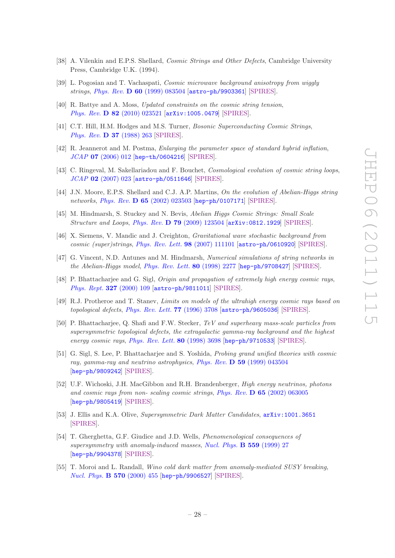- <span id="page-29-0"></span>[38] A. Vilenkin and E.P.S. Shellard, *Cosmic Strings and Other Defects*, Cambridge University Press, Cambridge U.K. (1994).
- <span id="page-29-1"></span>[39] L. Pogosian and T. Vachaspati, *Cosmic microwave background anisotropy from wiggly strings*, *Phys. Rev.* D 60 [\(1999\) 083504](http://dx.doi.org/10.1103/PhysRevD.60.083504) [[astro-ph/9903361](http://arxiv.org/abs/astro-ph/9903361)] [\[SPIRES\]](http://www-spires.slac.stanford.edu/spires/find/hep/www?eprint=ASTRO-PH/9903361).
- <span id="page-29-2"></span>[40] R. Battye and A. Moss, *Updated constraints on the cosmic string tension*, *Phys. Rev.* D 82 [\(2010\) 023521](http://dx.doi.org/10.1103/PhysRevD.82.023521) [[arXiv:1005.0479](http://arxiv.org/abs/1005.0479)] [\[SPIRES\]](http://www-spires.slac.stanford.edu/spires/find/hep/www?eprint=1005.0479).
- <span id="page-29-3"></span>[41] C.T. Hill, H.M. Hodges and M.S. Turner, *Bosonic Superconducting Cosmic Strings*, *[Phys. Rev.](http://dx.doi.org/10.1103/PhysRevD.37.263)* **D 37** (1988) 263 [\[SPIRES\]](http://www-spires.slac.stanford.edu/spires/find/hep/www?j=PHRVA,D37,263).
- <span id="page-29-4"></span>[42] R. Jeannerot and M. Postma, *Enlarging the parameter space of standard hybrid inflation*, *JCAP* 07 [\(2006\) 012](http://dx.doi.org/10.1088/1475-7516/2006/07/012) [[hep-th/0604216](http://arxiv.org/abs/hep-th/0604216)] [\[SPIRES\]](http://www-spires.slac.stanford.edu/spires/find/hep/www?eprint=HEP-TH/0604216).
- <span id="page-29-5"></span>[43] C. Ringeval, M. Sakellariadou and F. Bouchet, *Cosmological evolution of cosmic string loops*, *JCAP* 02 [\(2007\) 023](http://dx.doi.org/10.1088/1475-7516/2007/02/023) [[astro-ph/0511646](http://arxiv.org/abs/astro-ph/0511646)] [\[SPIRES\]](http://www-spires.slac.stanford.edu/spires/find/hep/www?eprint=ASTRO-PH/0511646).
- [44] J.N. Moore, E.P.S. Shellard and C.J. A.P. Martins, *On the evolution of Abelian-Higgs string networks*, *Phys. Rev.* D 65 [\(2002\) 023503](http://dx.doi.org/10.1103/PhysRevD.65.023503) [[hep-ph/0107171](http://arxiv.org/abs/hep-ph/0107171)] [\[SPIRES\]](http://www-spires.slac.stanford.edu/spires/find/hep/www?eprint=HEP-PH/0107171).
- <span id="page-29-6"></span>[45] M. Hindmarsh, S. Stuckey and N. Bevis, *Abelian Higgs Cosmic Strings: Small Scale Structure and Loops*, *Phys. Rev.* D 79 [\(2009\) 123504](http://dx.doi.org/10.1103/PhysRevD.79.123504) [[arXiv:0812.1929](http://arxiv.org/abs/0812.1929)] [\[SPIRES\]](http://www-spires.slac.stanford.edu/spires/find/hep/www?eprint=0812.1929).
- <span id="page-29-7"></span>[46] X. Siemens, V. Mandic and J. Creighton, *Gravitational wave stochastic background from cosmic (super)strings*, *[Phys. Rev. Lett.](http://dx.doi.org/10.1103/PhysRevLett.98.111101)* 98 (2007) 111101 [[astro-ph/0610920](http://arxiv.org/abs/astro-ph/0610920)] [\[SPIRES\]](http://www-spires.slac.stanford.edu/spires/find/hep/www?eprint=ASTRO-PH/0610920).
- <span id="page-29-8"></span>[47] G. Vincent, N.D. Antunes and M. Hindmarsh, *Numerical simulations of string networks in the Abelian-Higgs model*, *[Phys. Rev. Lett.](http://dx.doi.org/10.1103/PhysRevLett.80.2277)* 80 (1998) 2277 [[hep-ph/9708427](http://arxiv.org/abs/hep-ph/9708427)] [\[SPIRES\]](http://www-spires.slac.stanford.edu/spires/find/hep/www?eprint=HEP-PH/9708427).
- <span id="page-29-9"></span>[48] P. Bhattacharjee and G. Sigl, *Origin and propagation of extremely high energy cosmic rays*, *[Phys. Rept.](http://dx.doi.org/10.1016/S0370-1573(99)00101-5)* 327 (2000) 109 [[astro-ph/9811011](http://arxiv.org/abs/astro-ph/9811011)] [\[SPIRES\]](http://www-spires.slac.stanford.edu/spires/find/hep/www?eprint=ASTRO-PH/9811011).
- <span id="page-29-10"></span>[49] R.J. Protheroe and T. Stanev, *Limits on models of the ultrahigh energy cosmic rays based on topological defects*, *[Phys. Rev. Lett.](http://dx.doi.org/10.1103/PhysRevLett.77.3708)* 77 (1996) 3708 [[astro-ph/9605036](http://arxiv.org/abs/astro-ph/9605036)] [\[SPIRES\]](http://www-spires.slac.stanford.edu/spires/find/hep/www?eprint=ASTRO-PH/9605036).
- [50] P. Bhattacharjee, Q. Shafi and F.W. Stecker, *TeV and superheavy mass-scale particles from supersymmetric topological defects, the extragalactic gamma-ray background and the highest energy cosmic rays*, *[Phys. Rev. Lett.](http://dx.doi.org/10.1103/PhysRevLett.80.3698)* 80 (1998) 3698 [[hep-ph/9710533](http://arxiv.org/abs/hep-ph/9710533)] [\[SPIRES\]](http://www-spires.slac.stanford.edu/spires/find/hep/www?eprint=HEP-PH/9710533).
- [51] G. Sigl, S. Lee, P. Bhattacharjee and S. Yoshida, *Probing grand unified theories with cosmic ray, gamma-ray and neutrino astrophysics*, *Phys. Rev.* D 59 [\(1999\) 043504](http://dx.doi.org/10.1103/PhysRevD.59.043504) [[hep-ph/9809242](http://arxiv.org/abs/hep-ph/9809242)] [\[SPIRES\]](http://www-spires.slac.stanford.edu/spires/find/hep/www?eprint=HEP-PH/9809242).
- <span id="page-29-11"></span>[52] U.F. Wichoski, J.H. MacGibbon and R.H. Brandenberger, *High energy neutrinos, photons and cosmic rays from non- scaling cosmic strings*, *Phys. Rev.* D 65 [\(2002\) 063005](http://dx.doi.org/10.1103/PhysRevD.65.063005) [[hep-ph/9805419](http://arxiv.org/abs/hep-ph/9805419)] [\[SPIRES\]](http://www-spires.slac.stanford.edu/spires/find/hep/www?eprint=HEP-PH/9805419).
- <span id="page-29-12"></span>[53] J. Ellis and K.A. Olive, *Supersymmetric Dark Matter Candidates*, [arXiv:1001.3651](http://arxiv.org/abs/1001.3651) [\[SPIRES\]](http://www-spires.slac.stanford.edu/spires/find/hep/www?eprint=1001.3651).
- <span id="page-29-13"></span>[54] T. Gherghetta, G.F. Giudice and J.D. Wells, *Phenomenological consequences of supersymmetry with anomaly-induced masses*, *[Nucl. Phys.](http://dx.doi.org/10.1016/S0550-3213(99)00429-0)* B 559 (1999) 27 [[hep-ph/9904378](http://arxiv.org/abs/hep-ph/9904378)] [\[SPIRES\]](http://www-spires.slac.stanford.edu/spires/find/hep/www?eprint=HEP-PH/9904378).
- [55] T. Moroi and L. Randall, *Wino cold dark matter from anomaly-mediated SUSY breaking*, *[Nucl. Phys.](http://dx.doi.org/10.1016/S0550-3213(99)00748-8)* B 570 (2000) 455 [[hep-ph/9906527](http://arxiv.org/abs/hep-ph/9906527)] [\[SPIRES\]](http://www-spires.slac.stanford.edu/spires/find/hep/www?eprint=HEP-PH/9906527).